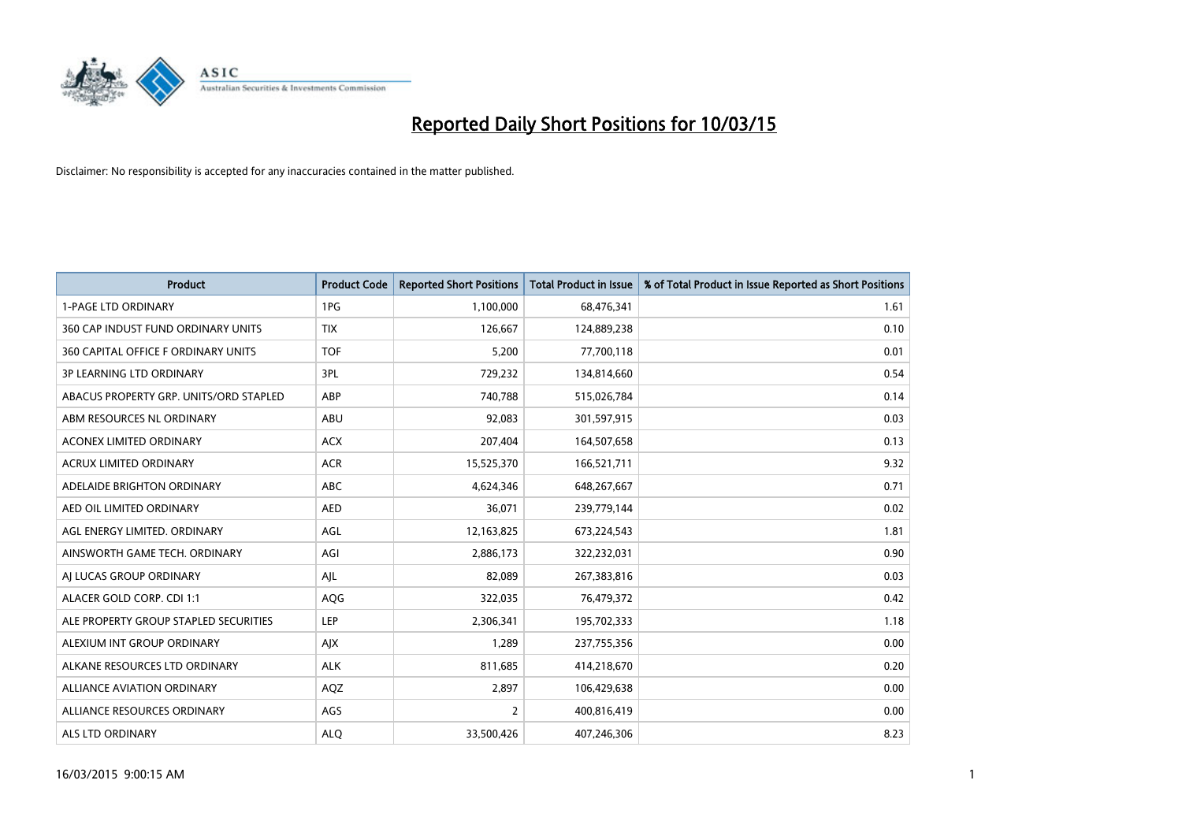

| <b>Product</b>                         | <b>Product Code</b> | <b>Reported Short Positions</b> | <b>Total Product in Issue</b> | % of Total Product in Issue Reported as Short Positions |
|----------------------------------------|---------------------|---------------------------------|-------------------------------|---------------------------------------------------------|
| <b>1-PAGE LTD ORDINARY</b>             | 1PG                 | 1,100,000                       | 68,476,341                    | 1.61                                                    |
| 360 CAP INDUST FUND ORDINARY UNITS     | <b>TIX</b>          | 126,667                         | 124,889,238                   | 0.10                                                    |
| 360 CAPITAL OFFICE F ORDINARY UNITS    | <b>TOF</b>          | 5,200                           | 77,700,118                    | 0.01                                                    |
| <b>3P LEARNING LTD ORDINARY</b>        | 3PL                 | 729,232                         | 134,814,660                   | 0.54                                                    |
| ABACUS PROPERTY GRP. UNITS/ORD STAPLED | ABP                 | 740,788                         | 515,026,784                   | 0.14                                                    |
| ABM RESOURCES NL ORDINARY              | ABU                 | 92,083                          | 301,597,915                   | 0.03                                                    |
| ACONEX LIMITED ORDINARY                | <b>ACX</b>          | 207,404                         | 164,507,658                   | 0.13                                                    |
| ACRUX LIMITED ORDINARY                 | <b>ACR</b>          | 15,525,370                      | 166,521,711                   | 9.32                                                    |
| ADELAIDE BRIGHTON ORDINARY             | <b>ABC</b>          | 4,624,346                       | 648,267,667                   | 0.71                                                    |
| AED OIL LIMITED ORDINARY               | <b>AED</b>          | 36,071                          | 239,779,144                   | 0.02                                                    |
| AGL ENERGY LIMITED. ORDINARY           | AGL                 | 12,163,825                      | 673,224,543                   | 1.81                                                    |
| AINSWORTH GAME TECH. ORDINARY          | AGI                 | 2,886,173                       | 322,232,031                   | 0.90                                                    |
| AI LUCAS GROUP ORDINARY                | AJL                 | 82,089                          | 267,383,816                   | 0.03                                                    |
| ALACER GOLD CORP. CDI 1:1              | <b>AQG</b>          | 322,035                         | 76,479,372                    | 0.42                                                    |
| ALE PROPERTY GROUP STAPLED SECURITIES  | <b>LEP</b>          | 2,306,341                       | 195,702,333                   | 1.18                                                    |
| ALEXIUM INT GROUP ORDINARY             | AJX                 | 1,289                           | 237,755,356                   | 0.00                                                    |
| ALKANE RESOURCES LTD ORDINARY          | <b>ALK</b>          | 811,685                         | 414,218,670                   | 0.20                                                    |
| <b>ALLIANCE AVIATION ORDINARY</b>      | AQZ                 | 2,897                           | 106,429,638                   | 0.00                                                    |
| ALLIANCE RESOURCES ORDINARY            | AGS                 | $\overline{2}$                  | 400,816,419                   | 0.00                                                    |
| ALS LTD ORDINARY                       | <b>ALQ</b>          | 33,500,426                      | 407,246,306                   | 8.23                                                    |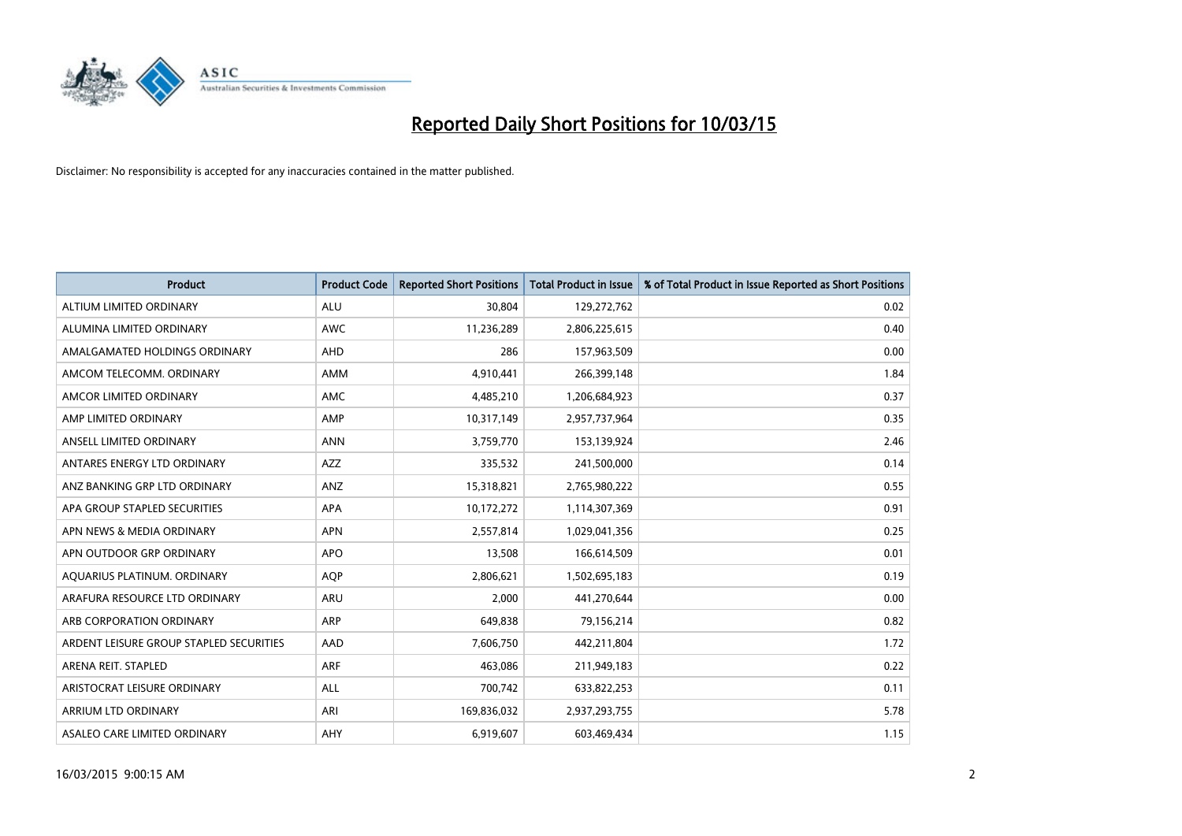

| <b>Product</b>                          | <b>Product Code</b> | <b>Reported Short Positions</b> | <b>Total Product in Issue</b> | % of Total Product in Issue Reported as Short Positions |
|-----------------------------------------|---------------------|---------------------------------|-------------------------------|---------------------------------------------------------|
| ALTIUM LIMITED ORDINARY                 | <b>ALU</b>          | 30,804                          | 129,272,762                   | 0.02                                                    |
| ALUMINA LIMITED ORDINARY                | AWC                 | 11,236,289                      | 2,806,225,615                 | 0.40                                                    |
| AMALGAMATED HOLDINGS ORDINARY           | AHD                 | 286                             | 157,963,509                   | 0.00                                                    |
| AMCOM TELECOMM, ORDINARY                | AMM                 | 4,910,441                       | 266,399,148                   | 1.84                                                    |
| AMCOR LIMITED ORDINARY                  | AMC                 | 4,485,210                       | 1,206,684,923                 | 0.37                                                    |
| AMP LIMITED ORDINARY                    | AMP                 | 10,317,149                      | 2,957,737,964                 | 0.35                                                    |
| ANSELL LIMITED ORDINARY                 | <b>ANN</b>          | 3,759,770                       | 153,139,924                   | 2.46                                                    |
| ANTARES ENERGY LTD ORDINARY             | AZZ                 | 335,532                         | 241,500,000                   | 0.14                                                    |
| ANZ BANKING GRP LTD ORDINARY            | ANZ                 | 15,318,821                      | 2,765,980,222                 | 0.55                                                    |
| APA GROUP STAPLED SECURITIES            | <b>APA</b>          | 10,172,272                      | 1,114,307,369                 | 0.91                                                    |
| APN NEWS & MEDIA ORDINARY               | <b>APN</b>          | 2,557,814                       | 1,029,041,356                 | 0.25                                                    |
| APN OUTDOOR GRP ORDINARY                | <b>APO</b>          | 13,508                          | 166,614,509                   | 0.01                                                    |
| AQUARIUS PLATINUM. ORDINARY             | <b>AOP</b>          | 2,806,621                       | 1,502,695,183                 | 0.19                                                    |
| ARAFURA RESOURCE LTD ORDINARY           | <b>ARU</b>          | 2,000                           | 441,270,644                   | 0.00                                                    |
| ARB CORPORATION ORDINARY                | <b>ARP</b>          | 649,838                         | 79,156,214                    | 0.82                                                    |
| ARDENT LEISURE GROUP STAPLED SECURITIES | AAD                 | 7,606,750                       | 442,211,804                   | 1.72                                                    |
| ARENA REIT. STAPLED                     | <b>ARF</b>          | 463,086                         | 211,949,183                   | 0.22                                                    |
| ARISTOCRAT LEISURE ORDINARY             | ALL                 | 700,742                         | 633,822,253                   | 0.11                                                    |
| ARRIUM LTD ORDINARY                     | ARI                 | 169,836,032                     | 2,937,293,755                 | 5.78                                                    |
| ASALEO CARE LIMITED ORDINARY            | AHY                 | 6,919,607                       | 603,469,434                   | 1.15                                                    |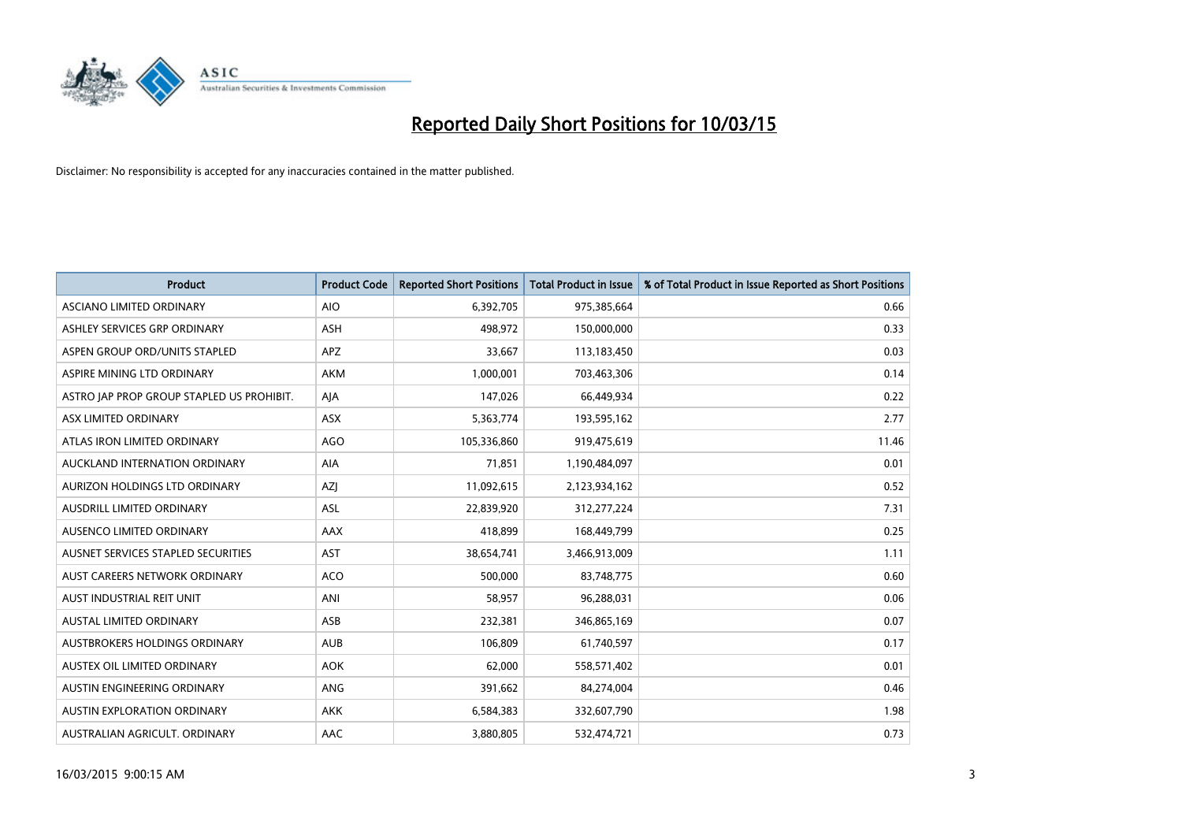

| <b>Product</b>                            | <b>Product Code</b> | <b>Reported Short Positions</b> | <b>Total Product in Issue</b> | % of Total Product in Issue Reported as Short Positions |
|-------------------------------------------|---------------------|---------------------------------|-------------------------------|---------------------------------------------------------|
| ASCIANO LIMITED ORDINARY                  | <b>AIO</b>          | 6,392,705                       | 975,385,664                   | 0.66                                                    |
| ASHLEY SERVICES GRP ORDINARY              | <b>ASH</b>          | 498,972                         | 150,000,000                   | 0.33                                                    |
| ASPEN GROUP ORD/UNITS STAPLED             | <b>APZ</b>          | 33,667                          | 113,183,450                   | 0.03                                                    |
| ASPIRE MINING LTD ORDINARY                | <b>AKM</b>          | 1,000,001                       | 703,463,306                   | 0.14                                                    |
| ASTRO JAP PROP GROUP STAPLED US PROHIBIT. | AJA                 | 147,026                         | 66,449,934                    | 0.22                                                    |
| ASX LIMITED ORDINARY                      | ASX                 | 5,363,774                       | 193,595,162                   | 2.77                                                    |
| ATLAS IRON LIMITED ORDINARY               | <b>AGO</b>          | 105,336,860                     | 919,475,619                   | 11.46                                                   |
| AUCKLAND INTERNATION ORDINARY             | <b>AIA</b>          | 71,851                          | 1,190,484,097                 | 0.01                                                    |
| AURIZON HOLDINGS LTD ORDINARY             | <b>AZI</b>          | 11,092,615                      | 2,123,934,162                 | 0.52                                                    |
| AUSDRILL LIMITED ORDINARY                 | ASL                 | 22,839,920                      | 312,277,224                   | 7.31                                                    |
| AUSENCO LIMITED ORDINARY                  | AAX                 | 418,899                         | 168,449,799                   | 0.25                                                    |
| AUSNET SERVICES STAPLED SECURITIES        | <b>AST</b>          | 38,654,741                      | 3,466,913,009                 | 1.11                                                    |
| AUST CAREERS NETWORK ORDINARY             | <b>ACO</b>          | 500,000                         | 83,748,775                    | 0.60                                                    |
| AUST INDUSTRIAL REIT UNIT                 | ANI                 | 58,957                          | 96,288,031                    | 0.06                                                    |
| AUSTAL LIMITED ORDINARY                   | ASB                 | 232,381                         | 346,865,169                   | 0.07                                                    |
| AUSTBROKERS HOLDINGS ORDINARY             | <b>AUB</b>          | 106,809                         | 61,740,597                    | 0.17                                                    |
| AUSTEX OIL LIMITED ORDINARY               | <b>AOK</b>          | 62,000                          | 558,571,402                   | 0.01                                                    |
| AUSTIN ENGINEERING ORDINARY               | ANG                 | 391,662                         | 84,274,004                    | 0.46                                                    |
| <b>AUSTIN EXPLORATION ORDINARY</b>        | <b>AKK</b>          | 6,584,383                       | 332,607,790                   | 1.98                                                    |
| AUSTRALIAN AGRICULT. ORDINARY             | AAC                 | 3,880,805                       | 532,474,721                   | 0.73                                                    |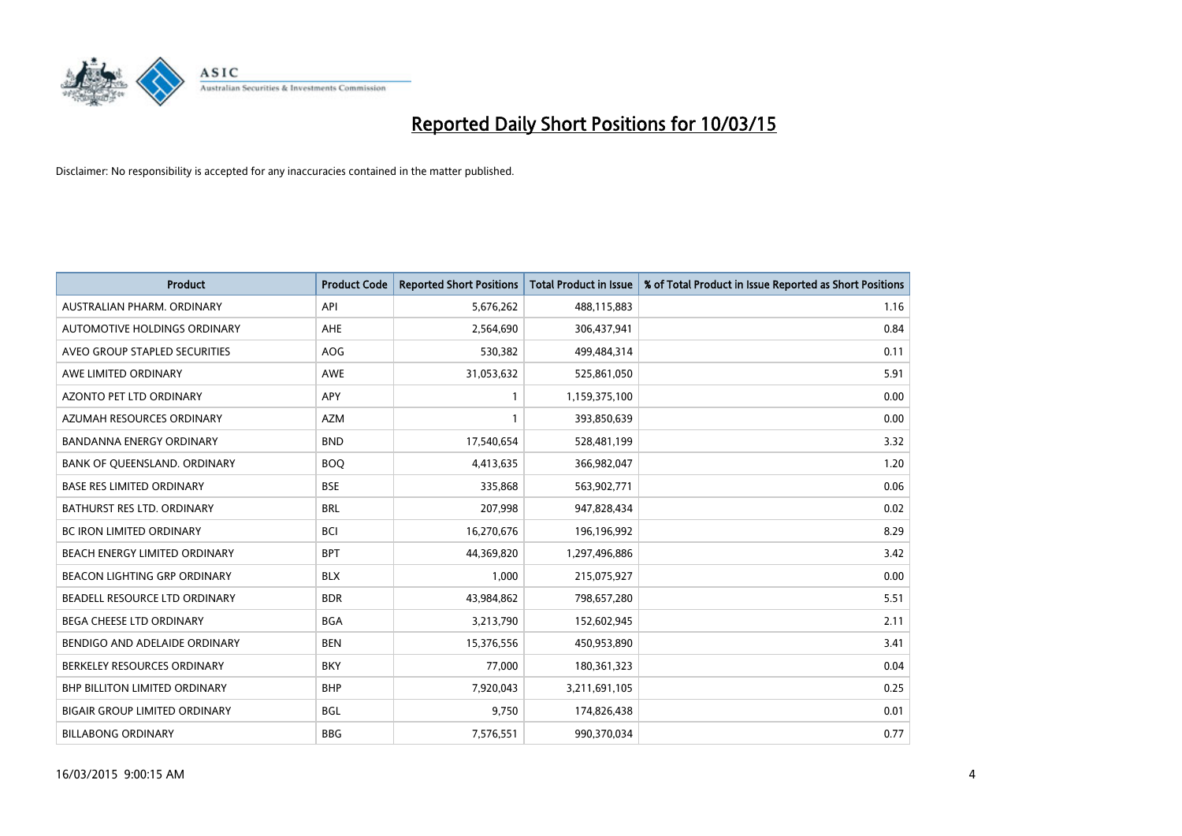

| <b>Product</b>                       | <b>Product Code</b> | <b>Reported Short Positions</b> | <b>Total Product in Issue</b> | % of Total Product in Issue Reported as Short Positions |
|--------------------------------------|---------------------|---------------------------------|-------------------------------|---------------------------------------------------------|
| AUSTRALIAN PHARM, ORDINARY           | API                 | 5,676,262                       | 488,115,883                   | 1.16                                                    |
| AUTOMOTIVE HOLDINGS ORDINARY         | AHE                 | 2,564,690                       | 306,437,941                   | 0.84                                                    |
| AVEO GROUP STAPLED SECURITIES        | AOG                 | 530,382                         | 499,484,314                   | 0.11                                                    |
| AWE LIMITED ORDINARY                 | AWE                 | 31,053,632                      | 525,861,050                   | 5.91                                                    |
| AZONTO PET LTD ORDINARY              | <b>APY</b>          | $\mathbf{1}$                    | 1,159,375,100                 | 0.00                                                    |
| AZUMAH RESOURCES ORDINARY            | <b>AZM</b>          | $\mathbf{1}$                    | 393,850,639                   | 0.00                                                    |
| <b>BANDANNA ENERGY ORDINARY</b>      | <b>BND</b>          | 17,540,654                      | 528,481,199                   | 3.32                                                    |
| BANK OF QUEENSLAND. ORDINARY         | <b>BOQ</b>          | 4,413,635                       | 366,982,047                   | 1.20                                                    |
| <b>BASE RES LIMITED ORDINARY</b>     | <b>BSE</b>          | 335,868                         | 563,902,771                   | 0.06                                                    |
| <b>BATHURST RES LTD. ORDINARY</b>    | <b>BRL</b>          | 207,998                         | 947,828,434                   | 0.02                                                    |
| <b>BC IRON LIMITED ORDINARY</b>      | <b>BCI</b>          | 16,270,676                      | 196,196,992                   | 8.29                                                    |
| BEACH ENERGY LIMITED ORDINARY        | <b>BPT</b>          | 44,369,820                      | 1,297,496,886                 | 3.42                                                    |
| <b>BEACON LIGHTING GRP ORDINARY</b>  | <b>BLX</b>          | 1.000                           | 215,075,927                   | 0.00                                                    |
| <b>BEADELL RESOURCE LTD ORDINARY</b> | <b>BDR</b>          | 43,984,862                      | 798,657,280                   | 5.51                                                    |
| BEGA CHEESE LTD ORDINARY             | <b>BGA</b>          | 3,213,790                       | 152,602,945                   | 2.11                                                    |
| BENDIGO AND ADELAIDE ORDINARY        | <b>BEN</b>          | 15,376,556                      | 450,953,890                   | 3.41                                                    |
| BERKELEY RESOURCES ORDINARY          | <b>BKY</b>          | 77,000                          | 180,361,323                   | 0.04                                                    |
| <b>BHP BILLITON LIMITED ORDINARY</b> | <b>BHP</b>          | 7,920,043                       | 3,211,691,105                 | 0.25                                                    |
| <b>BIGAIR GROUP LIMITED ORDINARY</b> | <b>BGL</b>          | 9,750                           | 174,826,438                   | 0.01                                                    |
| <b>BILLABONG ORDINARY</b>            | <b>BBG</b>          | 7,576,551                       | 990,370,034                   | 0.77                                                    |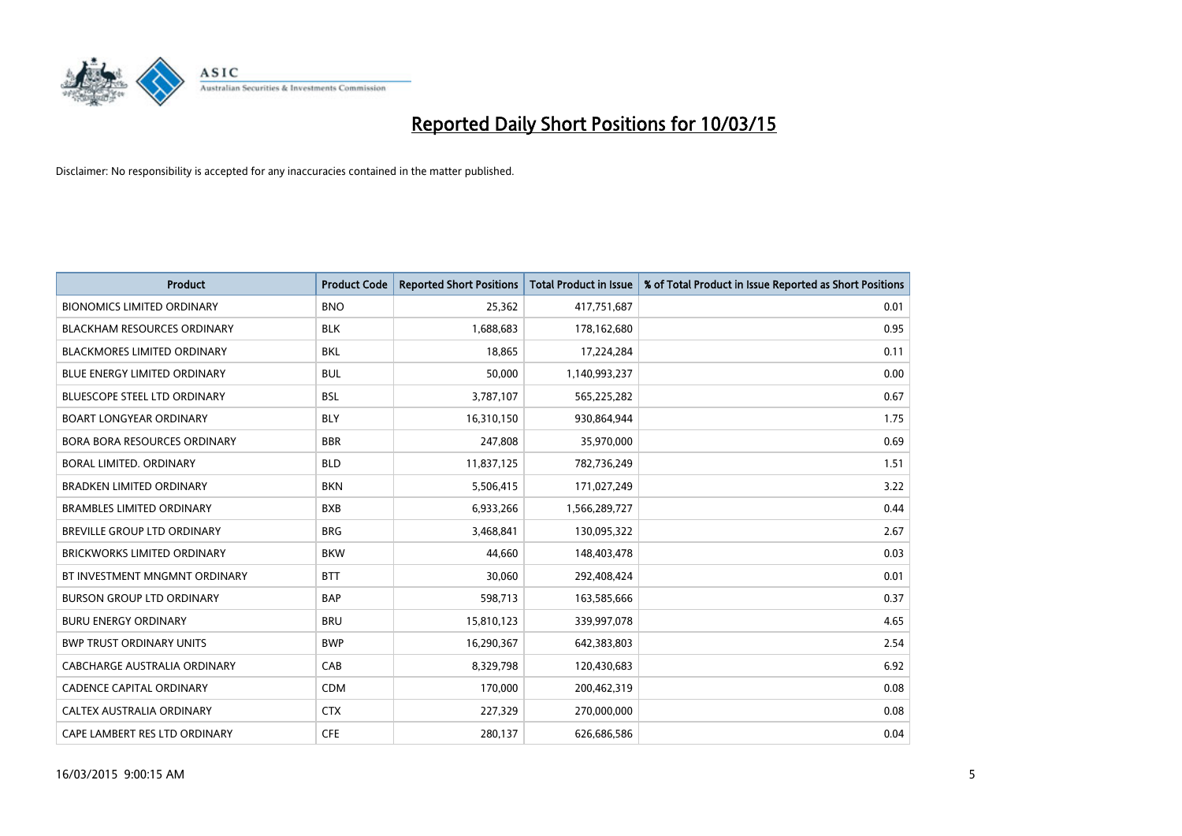

| <b>Product</b>                      | <b>Product Code</b> | <b>Reported Short Positions</b> | <b>Total Product in Issue</b> | % of Total Product in Issue Reported as Short Positions |
|-------------------------------------|---------------------|---------------------------------|-------------------------------|---------------------------------------------------------|
| <b>BIONOMICS LIMITED ORDINARY</b>   | <b>BNO</b>          | 25,362                          | 417,751,687                   | 0.01                                                    |
| <b>BLACKHAM RESOURCES ORDINARY</b>  | <b>BLK</b>          | 1,688,683                       | 178,162,680                   | 0.95                                                    |
| <b>BLACKMORES LIMITED ORDINARY</b>  | <b>BKL</b>          | 18,865                          | 17,224,284                    | 0.11                                                    |
| BLUE ENERGY LIMITED ORDINARY        | <b>BUL</b>          | 50,000                          | 1,140,993,237                 | 0.00                                                    |
| <b>BLUESCOPE STEEL LTD ORDINARY</b> | <b>BSL</b>          | 3,787,107                       | 565,225,282                   | 0.67                                                    |
| <b>BOART LONGYEAR ORDINARY</b>      | <b>BLY</b>          | 16,310,150                      | 930,864,944                   | 1.75                                                    |
| <b>BORA BORA RESOURCES ORDINARY</b> | <b>BBR</b>          | 247,808                         | 35,970,000                    | 0.69                                                    |
| <b>BORAL LIMITED, ORDINARY</b>      | <b>BLD</b>          | 11,837,125                      | 782,736,249                   | 1.51                                                    |
| <b>BRADKEN LIMITED ORDINARY</b>     | <b>BKN</b>          | 5,506,415                       | 171,027,249                   | 3.22                                                    |
| <b>BRAMBLES LIMITED ORDINARY</b>    | <b>BXB</b>          | 6,933,266                       | 1,566,289,727                 | 0.44                                                    |
| BREVILLE GROUP LTD ORDINARY         | <b>BRG</b>          | 3,468,841                       | 130,095,322                   | 2.67                                                    |
| <b>BRICKWORKS LIMITED ORDINARY</b>  | <b>BKW</b>          | 44,660                          | 148,403,478                   | 0.03                                                    |
| BT INVESTMENT MNGMNT ORDINARY       | <b>BTT</b>          | 30,060                          | 292,408,424                   | 0.01                                                    |
| <b>BURSON GROUP LTD ORDINARY</b>    | <b>BAP</b>          | 598,713                         | 163,585,666                   | 0.37                                                    |
| <b>BURU ENERGY ORDINARY</b>         | <b>BRU</b>          | 15,810,123                      | 339,997,078                   | 4.65                                                    |
| <b>BWP TRUST ORDINARY UNITS</b>     | <b>BWP</b>          | 16,290,367                      | 642,383,803                   | 2.54                                                    |
| <b>CABCHARGE AUSTRALIA ORDINARY</b> | CAB                 | 8,329,798                       | 120,430,683                   | 6.92                                                    |
| <b>CADENCE CAPITAL ORDINARY</b>     | <b>CDM</b>          | 170,000                         | 200,462,319                   | 0.08                                                    |
| CALTEX AUSTRALIA ORDINARY           | <b>CTX</b>          | 227,329                         | 270,000,000                   | 0.08                                                    |
| CAPE LAMBERT RES LTD ORDINARY       | <b>CFE</b>          | 280,137                         | 626,686,586                   | 0.04                                                    |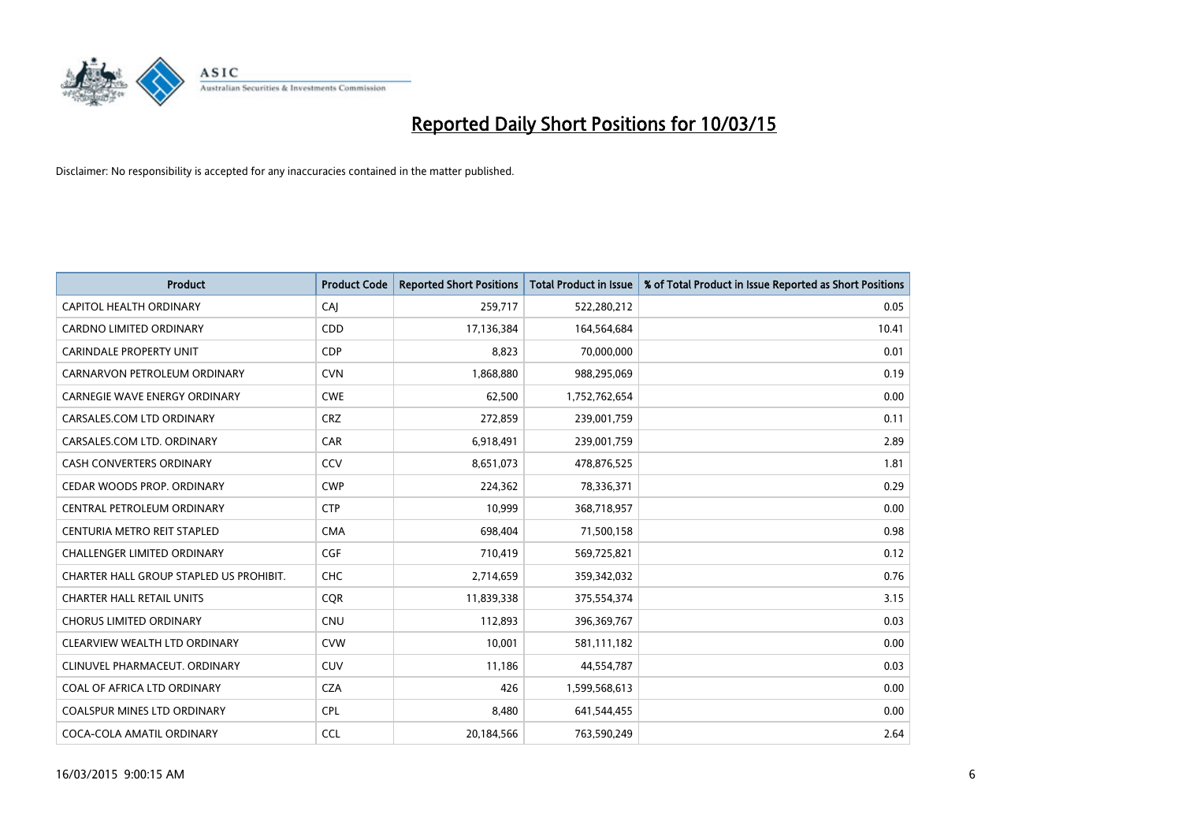

| <b>Product</b>                          | <b>Product Code</b> | <b>Reported Short Positions</b> | <b>Total Product in Issue</b> | % of Total Product in Issue Reported as Short Positions |
|-----------------------------------------|---------------------|---------------------------------|-------------------------------|---------------------------------------------------------|
| CAPITOL HEALTH ORDINARY                 | CAJ                 | 259,717                         | 522,280,212                   | 0.05                                                    |
| <b>CARDNO LIMITED ORDINARY</b>          | CDD                 | 17,136,384                      | 164,564,684                   | 10.41                                                   |
| CARINDALE PROPERTY UNIT                 | <b>CDP</b>          | 8,823                           | 70,000,000                    | 0.01                                                    |
| CARNARVON PETROLEUM ORDINARY            | <b>CVN</b>          | 1,868,880                       | 988,295,069                   | 0.19                                                    |
| <b>CARNEGIE WAVE ENERGY ORDINARY</b>    | <b>CWE</b>          | 62,500                          | 1,752,762,654                 | 0.00                                                    |
| CARSALES.COM LTD ORDINARY               | <b>CRZ</b>          | 272,859                         | 239,001,759                   | 0.11                                                    |
| CARSALES.COM LTD. ORDINARY              | CAR                 | 6,918,491                       | 239,001,759                   | 2.89                                                    |
| CASH CONVERTERS ORDINARY                | <b>CCV</b>          | 8,651,073                       | 478,876,525                   | 1.81                                                    |
| CEDAR WOODS PROP. ORDINARY              | <b>CWP</b>          | 224,362                         | 78,336,371                    | 0.29                                                    |
| CENTRAL PETROLEUM ORDINARY              | <b>CTP</b>          | 10,999                          | 368,718,957                   | 0.00                                                    |
| CENTURIA METRO REIT STAPLED             | <b>CMA</b>          | 698,404                         | 71,500,158                    | 0.98                                                    |
| CHALLENGER LIMITED ORDINARY             | <b>CGF</b>          | 710,419                         | 569,725,821                   | 0.12                                                    |
| CHARTER HALL GROUP STAPLED US PROHIBIT. | <b>CHC</b>          | 2,714,659                       | 359,342,032                   | 0.76                                                    |
| <b>CHARTER HALL RETAIL UNITS</b>        | <b>COR</b>          | 11,839,338                      | 375,554,374                   | 3.15                                                    |
| <b>CHORUS LIMITED ORDINARY</b>          | <b>CNU</b>          | 112,893                         | 396,369,767                   | 0.03                                                    |
| CLEARVIEW WEALTH LTD ORDINARY           | <b>CVW</b>          | 10,001                          | 581,111,182                   | 0.00                                                    |
| CLINUVEL PHARMACEUT. ORDINARY           | <b>CUV</b>          | 11,186                          | 44,554,787                    | 0.03                                                    |
| COAL OF AFRICA LTD ORDINARY             | <b>CZA</b>          | 426                             | 1,599,568,613                 | 0.00                                                    |
| <b>COALSPUR MINES LTD ORDINARY</b>      | <b>CPL</b>          | 8,480                           | 641,544,455                   | 0.00                                                    |
| COCA-COLA AMATIL ORDINARY               | <b>CCL</b>          | 20,184,566                      | 763,590,249                   | 2.64                                                    |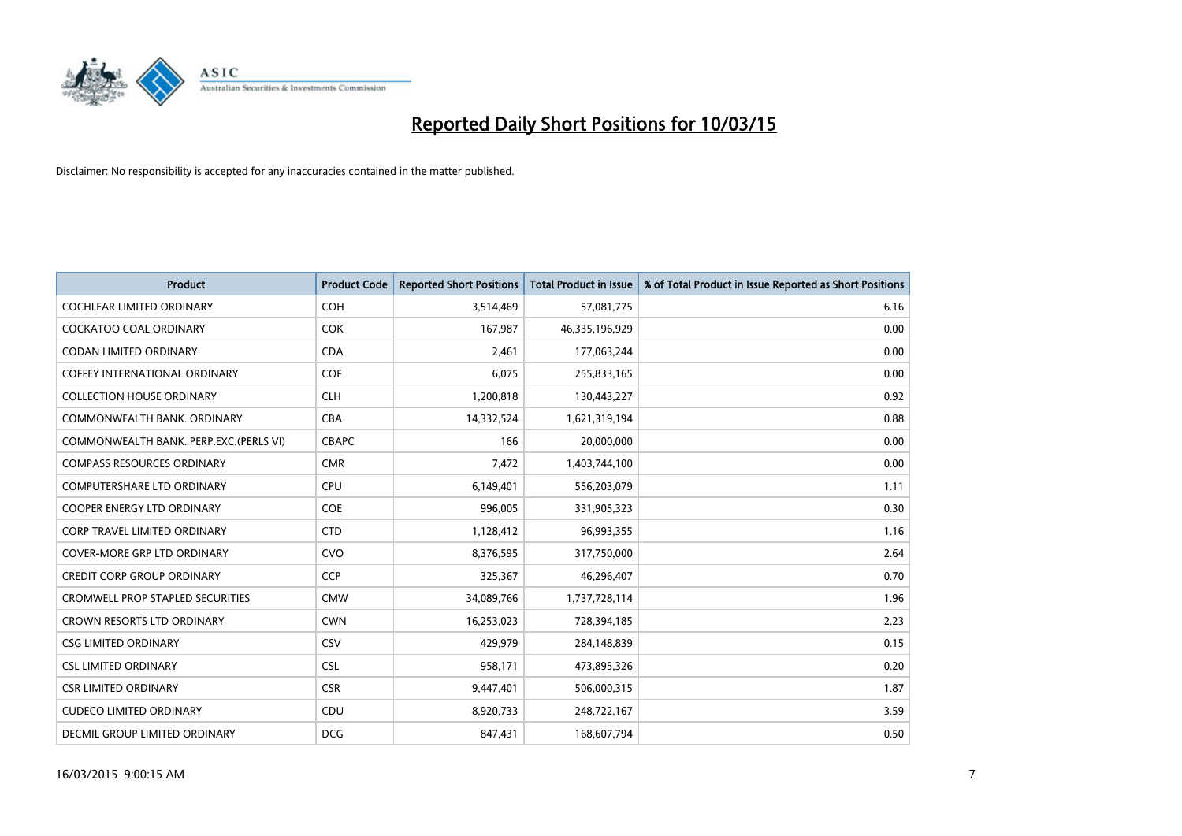

| <b>Product</b>                          | <b>Product Code</b> | <b>Reported Short Positions</b> | <b>Total Product in Issue</b> | % of Total Product in Issue Reported as Short Positions |
|-----------------------------------------|---------------------|---------------------------------|-------------------------------|---------------------------------------------------------|
| <b>COCHLEAR LIMITED ORDINARY</b>        | <b>COH</b>          | 3,514,469                       | 57,081,775                    | 6.16                                                    |
| <b>COCKATOO COAL ORDINARY</b>           | <b>COK</b>          | 167,987                         | 46,335,196,929                | 0.00                                                    |
| <b>CODAN LIMITED ORDINARY</b>           | <b>CDA</b>          | 2,461                           | 177,063,244                   | 0.00                                                    |
| COFFEY INTERNATIONAL ORDINARY           | <b>COF</b>          | 6,075                           | 255,833,165                   | 0.00                                                    |
| <b>COLLECTION HOUSE ORDINARY</b>        | <b>CLH</b>          | 1,200,818                       | 130,443,227                   | 0.92                                                    |
| COMMONWEALTH BANK, ORDINARY             | <b>CBA</b>          | 14,332,524                      | 1,621,319,194                 | 0.88                                                    |
| COMMONWEALTH BANK, PERP.EXC.(PERLS VI)  | <b>CBAPC</b>        | 166                             | 20,000,000                    | 0.00                                                    |
| <b>COMPASS RESOURCES ORDINARY</b>       | <b>CMR</b>          | 7,472                           | 1,403,744,100                 | 0.00                                                    |
| <b>COMPUTERSHARE LTD ORDINARY</b>       | <b>CPU</b>          | 6,149,401                       | 556,203,079                   | 1.11                                                    |
| <b>COOPER ENERGY LTD ORDINARY</b>       | <b>COE</b>          | 996,005                         | 331,905,323                   | 0.30                                                    |
| CORP TRAVEL LIMITED ORDINARY            | <b>CTD</b>          | 1,128,412                       | 96,993,355                    | 1.16                                                    |
| <b>COVER-MORE GRP LTD ORDINARY</b>      | <b>CVO</b>          | 8,376,595                       | 317,750,000                   | 2.64                                                    |
| <b>CREDIT CORP GROUP ORDINARY</b>       | <b>CCP</b>          | 325,367                         | 46,296,407                    | 0.70                                                    |
| <b>CROMWELL PROP STAPLED SECURITIES</b> | <b>CMW</b>          | 34,089,766                      | 1,737,728,114                 | 1.96                                                    |
| <b>CROWN RESORTS LTD ORDINARY</b>       | <b>CWN</b>          | 16,253,023                      | 728,394,185                   | 2.23                                                    |
| <b>CSG LIMITED ORDINARY</b>             | CSV                 | 429,979                         | 284,148,839                   | 0.15                                                    |
| <b>CSL LIMITED ORDINARY</b>             | <b>CSL</b>          | 958,171                         | 473,895,326                   | 0.20                                                    |
| <b>CSR LIMITED ORDINARY</b>             | <b>CSR</b>          | 9,447,401                       | 506,000,315                   | 1.87                                                    |
| <b>CUDECO LIMITED ORDINARY</b>          | CDU                 | 8,920,733                       | 248,722,167                   | 3.59                                                    |
| DECMIL GROUP LIMITED ORDINARY           | <b>DCG</b>          | 847,431                         | 168,607,794                   | 0.50                                                    |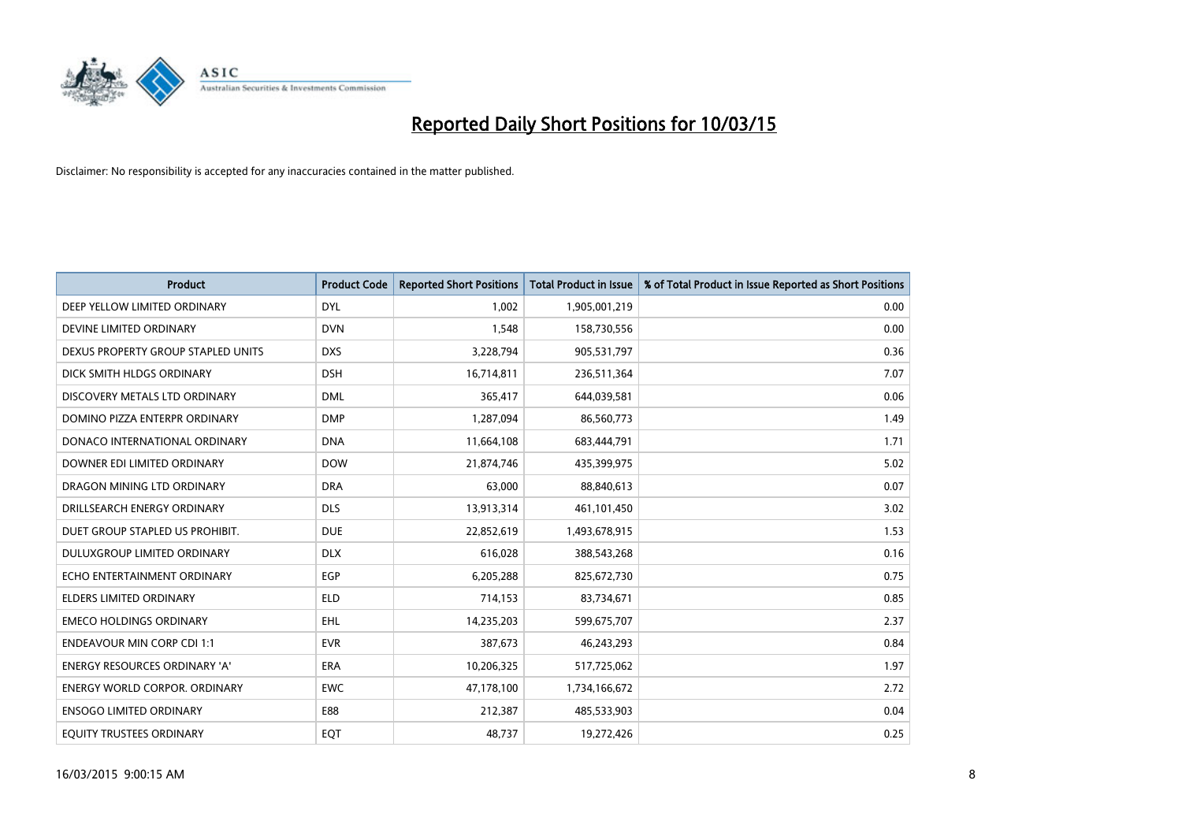

| <b>Product</b>                       | <b>Product Code</b> | <b>Reported Short Positions</b> | Total Product in Issue | % of Total Product in Issue Reported as Short Positions |
|--------------------------------------|---------------------|---------------------------------|------------------------|---------------------------------------------------------|
| DEEP YELLOW LIMITED ORDINARY         | <b>DYL</b>          | 1.002                           | 1,905,001,219          | 0.00                                                    |
| DEVINE LIMITED ORDINARY              | <b>DVN</b>          | 1,548                           | 158,730,556            | 0.00                                                    |
| DEXUS PROPERTY GROUP STAPLED UNITS   | <b>DXS</b>          | 3,228,794                       | 905,531,797            | 0.36                                                    |
| DICK SMITH HLDGS ORDINARY            | <b>DSH</b>          | 16,714,811                      | 236,511,364            | 7.07                                                    |
| DISCOVERY METALS LTD ORDINARY        | <b>DML</b>          | 365,417                         | 644,039,581            | 0.06                                                    |
| DOMINO PIZZA ENTERPR ORDINARY        | <b>DMP</b>          | 1,287,094                       | 86,560,773             | 1.49                                                    |
| DONACO INTERNATIONAL ORDINARY        | <b>DNA</b>          | 11,664,108                      | 683,444,791            | 1.71                                                    |
| DOWNER EDI LIMITED ORDINARY          | <b>DOW</b>          | 21,874,746                      | 435,399,975            | 5.02                                                    |
| DRAGON MINING LTD ORDINARY           | <b>DRA</b>          | 63,000                          | 88,840,613             | 0.07                                                    |
| DRILLSEARCH ENERGY ORDINARY          | <b>DLS</b>          | 13,913,314                      | 461,101,450            | 3.02                                                    |
| DUET GROUP STAPLED US PROHIBIT.      | <b>DUE</b>          | 22,852,619                      | 1,493,678,915          | 1.53                                                    |
| <b>DULUXGROUP LIMITED ORDINARY</b>   | <b>DLX</b>          | 616,028                         | 388,543,268            | 0.16                                                    |
| ECHO ENTERTAINMENT ORDINARY          | <b>EGP</b>          | 6,205,288                       | 825,672,730            | 0.75                                                    |
| <b>ELDERS LIMITED ORDINARY</b>       | <b>ELD</b>          | 714,153                         | 83,734,671             | 0.85                                                    |
| <b>EMECO HOLDINGS ORDINARY</b>       | <b>EHL</b>          | 14,235,203                      | 599,675,707            | 2.37                                                    |
| <b>ENDEAVOUR MIN CORP CDI 1:1</b>    | <b>EVR</b>          | 387,673                         | 46,243,293             | 0.84                                                    |
| ENERGY RESOURCES ORDINARY 'A'        | ERA                 | 10,206,325                      | 517,725,062            | 1.97                                                    |
| <b>ENERGY WORLD CORPOR. ORDINARY</b> | <b>EWC</b>          | 47,178,100                      | 1,734,166,672          | 2.72                                                    |
| <b>ENSOGO LIMITED ORDINARY</b>       | E88                 | 212,387                         | 485,533,903            | 0.04                                                    |
| EQUITY TRUSTEES ORDINARY             | EQT                 | 48,737                          | 19,272,426             | 0.25                                                    |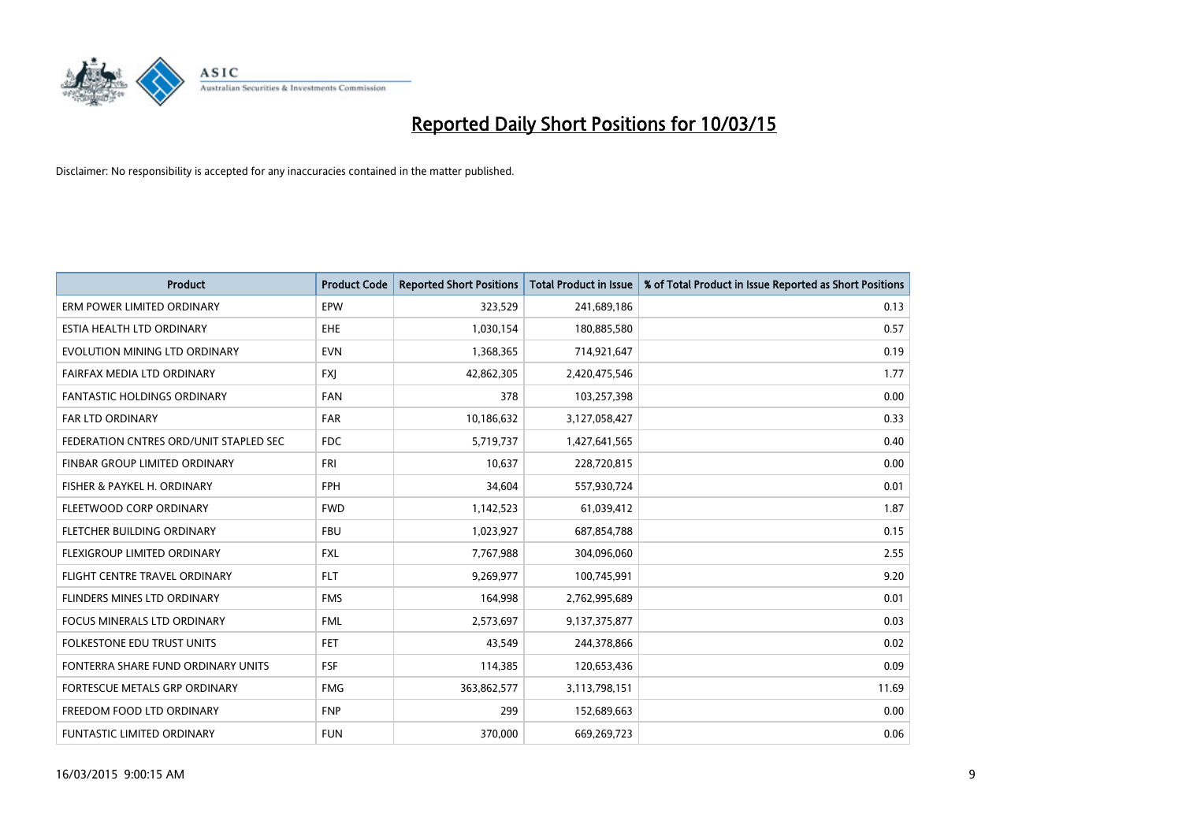

| <b>Product</b>                         | <b>Product Code</b> | <b>Reported Short Positions</b> | <b>Total Product in Issue</b> | % of Total Product in Issue Reported as Short Positions |
|----------------------------------------|---------------------|---------------------------------|-------------------------------|---------------------------------------------------------|
| ERM POWER LIMITED ORDINARY             | EPW                 | 323,529                         | 241,689,186                   | 0.13                                                    |
| ESTIA HEALTH LTD ORDINARY              | <b>EHE</b>          | 1,030,154                       | 180,885,580                   | 0.57                                                    |
| EVOLUTION MINING LTD ORDINARY          | <b>EVN</b>          | 1,368,365                       | 714,921,647                   | 0.19                                                    |
| FAIRFAX MEDIA LTD ORDINARY             | <b>FXI</b>          | 42,862,305                      | 2,420,475,546                 | 1.77                                                    |
| <b>FANTASTIC HOLDINGS ORDINARY</b>     | <b>FAN</b>          | 378                             | 103,257,398                   | 0.00                                                    |
| <b>FAR LTD ORDINARY</b>                | <b>FAR</b>          | 10,186,632                      | 3,127,058,427                 | 0.33                                                    |
| FEDERATION CNTRES ORD/UNIT STAPLED SEC | FDC                 | 5,719,737                       | 1,427,641,565                 | 0.40                                                    |
| FINBAR GROUP LIMITED ORDINARY          | FRI                 | 10,637                          | 228,720,815                   | 0.00                                                    |
| FISHER & PAYKEL H. ORDINARY            | <b>FPH</b>          | 34,604                          | 557,930,724                   | 0.01                                                    |
| FLEETWOOD CORP ORDINARY                | <b>FWD</b>          | 1,142,523                       | 61,039,412                    | 1.87                                                    |
| FLETCHER BUILDING ORDINARY             | <b>FBU</b>          | 1,023,927                       | 687,854,788                   | 0.15                                                    |
| FLEXIGROUP LIMITED ORDINARY            | <b>FXL</b>          | 7,767,988                       | 304,096,060                   | 2.55                                                    |
| FLIGHT CENTRE TRAVEL ORDINARY          | <b>FLT</b>          | 9,269,977                       | 100,745,991                   | 9.20                                                    |
| FLINDERS MINES LTD ORDINARY            | <b>FMS</b>          | 164,998                         | 2,762,995,689                 | 0.01                                                    |
| <b>FOCUS MINERALS LTD ORDINARY</b>     | <b>FML</b>          | 2,573,697                       | 9,137,375,877                 | 0.03                                                    |
| <b>FOLKESTONE EDU TRUST UNITS</b>      | <b>FET</b>          | 43,549                          | 244,378,866                   | 0.02                                                    |
| FONTERRA SHARE FUND ORDINARY UNITS     | <b>FSF</b>          | 114,385                         | 120,653,436                   | 0.09                                                    |
| FORTESCUE METALS GRP ORDINARY          | <b>FMG</b>          | 363,862,577                     | 3,113,798,151                 | 11.69                                                   |
| FREEDOM FOOD LTD ORDINARY              | <b>FNP</b>          | 299                             | 152,689,663                   | 0.00                                                    |
| <b>FUNTASTIC LIMITED ORDINARY</b>      | <b>FUN</b>          | 370,000                         | 669,269,723                   | 0.06                                                    |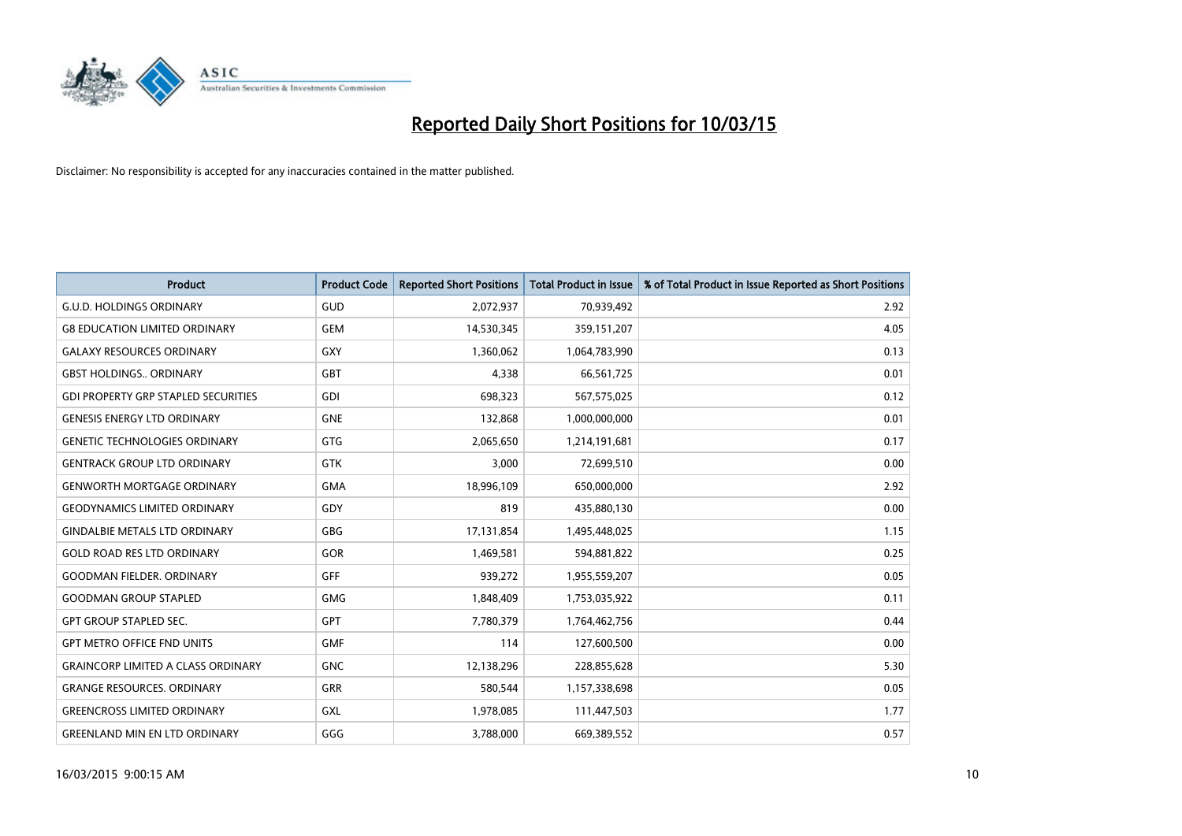

| <b>Product</b>                             | <b>Product Code</b> | <b>Reported Short Positions</b> | <b>Total Product in Issue</b> | % of Total Product in Issue Reported as Short Positions |
|--------------------------------------------|---------------------|---------------------------------|-------------------------------|---------------------------------------------------------|
| <b>G.U.D. HOLDINGS ORDINARY</b>            | GUD                 | 2,072,937                       | 70,939,492                    | 2.92                                                    |
| <b>G8 EDUCATION LIMITED ORDINARY</b>       | <b>GEM</b>          | 14,530,345                      | 359,151,207                   | 4.05                                                    |
| <b>GALAXY RESOURCES ORDINARY</b>           | <b>GXY</b>          | 1,360,062                       | 1,064,783,990                 | 0.13                                                    |
| <b>GBST HOLDINGS., ORDINARY</b>            | <b>GBT</b>          | 4,338                           | 66,561,725                    | 0.01                                                    |
| <b>GDI PROPERTY GRP STAPLED SECURITIES</b> | GDI                 | 698,323                         | 567,575,025                   | 0.12                                                    |
| <b>GENESIS ENERGY LTD ORDINARY</b>         | <b>GNE</b>          | 132,868                         | 1,000,000,000                 | 0.01                                                    |
| <b>GENETIC TECHNOLOGIES ORDINARY</b>       | <b>GTG</b>          | 2,065,650                       | 1,214,191,681                 | 0.17                                                    |
| <b>GENTRACK GROUP LTD ORDINARY</b>         | <b>GTK</b>          | 3,000                           | 72,699,510                    | 0.00                                                    |
| <b>GENWORTH MORTGAGE ORDINARY</b>          | <b>GMA</b>          | 18,996,109                      | 650,000,000                   | 2.92                                                    |
| <b>GEODYNAMICS LIMITED ORDINARY</b>        | GDY                 | 819                             | 435,880,130                   | 0.00                                                    |
| <b>GINDALBIE METALS LTD ORDINARY</b>       | <b>GBG</b>          | 17,131,854                      | 1,495,448,025                 | 1.15                                                    |
| <b>GOLD ROAD RES LTD ORDINARY</b>          | GOR                 | 1,469,581                       | 594,881,822                   | 0.25                                                    |
| <b>GOODMAN FIELDER. ORDINARY</b>           | <b>GFF</b>          | 939,272                         | 1,955,559,207                 | 0.05                                                    |
| <b>GOODMAN GROUP STAPLED</b>               | GMG                 | 1,848,409                       | 1,753,035,922                 | 0.11                                                    |
| <b>GPT GROUP STAPLED SEC.</b>              | <b>GPT</b>          | 7,780,379                       | 1,764,462,756                 | 0.44                                                    |
| <b>GPT METRO OFFICE FND UNITS</b>          | <b>GMF</b>          | 114                             | 127,600,500                   | 0.00                                                    |
| <b>GRAINCORP LIMITED A CLASS ORDINARY</b>  | <b>GNC</b>          | 12,138,296                      | 228,855,628                   | 5.30                                                    |
| <b>GRANGE RESOURCES, ORDINARY</b>          | GRR                 | 580,544                         | 1,157,338,698                 | 0.05                                                    |
| <b>GREENCROSS LIMITED ORDINARY</b>         | GXL                 | 1,978,085                       | 111,447,503                   | 1.77                                                    |
| <b>GREENLAND MIN EN LTD ORDINARY</b>       | GGG                 | 3,788,000                       | 669,389,552                   | 0.57                                                    |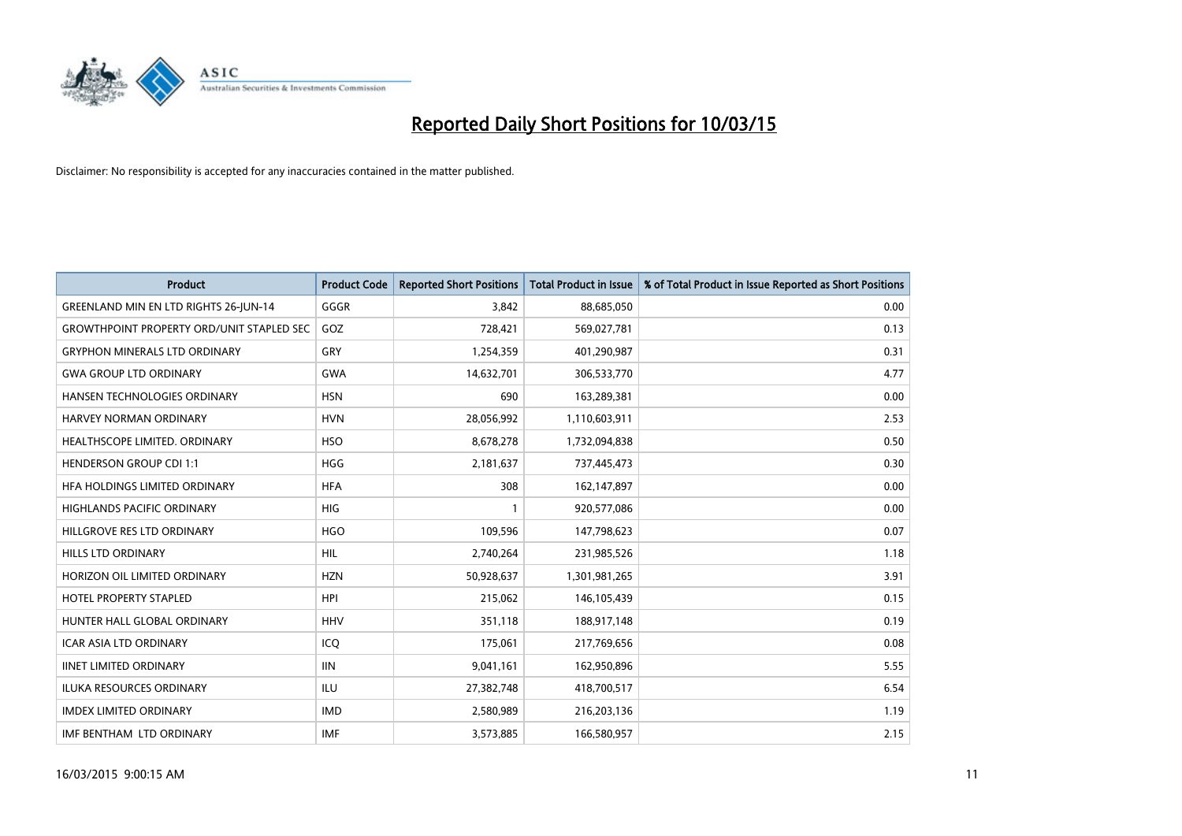

| <b>Product</b>                                   | <b>Product Code</b> | <b>Reported Short Positions</b> | <b>Total Product in Issue</b> | % of Total Product in Issue Reported as Short Positions |
|--------------------------------------------------|---------------------|---------------------------------|-------------------------------|---------------------------------------------------------|
| GREENLAND MIN EN LTD RIGHTS 26-JUN-14            | GGGR                | 3.842                           | 88,685,050                    | 0.00                                                    |
| <b>GROWTHPOINT PROPERTY ORD/UNIT STAPLED SEC</b> | GOZ                 | 728,421                         | 569,027,781                   | 0.13                                                    |
| <b>GRYPHON MINERALS LTD ORDINARY</b>             | GRY                 | 1,254,359                       | 401,290,987                   | 0.31                                                    |
| <b>GWA GROUP LTD ORDINARY</b>                    | <b>GWA</b>          | 14,632,701                      | 306,533,770                   | 4.77                                                    |
| HANSEN TECHNOLOGIES ORDINARY                     | <b>HSN</b>          | 690                             | 163,289,381                   | 0.00                                                    |
| HARVEY NORMAN ORDINARY                           | <b>HVN</b>          | 28,056,992                      | 1,110,603,911                 | 2.53                                                    |
| HEALTHSCOPE LIMITED. ORDINARY                    | <b>HSO</b>          | 8,678,278                       | 1,732,094,838                 | 0.50                                                    |
| <b>HENDERSON GROUP CDI 1:1</b>                   | <b>HGG</b>          | 2,181,637                       | 737,445,473                   | 0.30                                                    |
| HFA HOLDINGS LIMITED ORDINARY                    | <b>HFA</b>          | 308                             | 162,147,897                   | 0.00                                                    |
| <b>HIGHLANDS PACIFIC ORDINARY</b>                | <b>HIG</b>          | 1                               | 920,577,086                   | 0.00                                                    |
| HILLGROVE RES LTD ORDINARY                       | <b>HGO</b>          | 109,596                         | 147,798,623                   | 0.07                                                    |
| <b>HILLS LTD ORDINARY</b>                        | <b>HIL</b>          | 2,740,264                       | 231,985,526                   | 1.18                                                    |
| HORIZON OIL LIMITED ORDINARY                     | <b>HZN</b>          | 50,928,637                      | 1,301,981,265                 | 3.91                                                    |
| <b>HOTEL PROPERTY STAPLED</b>                    | <b>HPI</b>          | 215,062                         | 146, 105, 439                 | 0.15                                                    |
| HUNTER HALL GLOBAL ORDINARY                      | <b>HHV</b>          | 351,118                         | 188,917,148                   | 0.19                                                    |
| ICAR ASIA LTD ORDINARY                           | ICO                 | 175,061                         | 217,769,656                   | 0.08                                                    |
| <b>IINET LIMITED ORDINARY</b>                    | <b>IIN</b>          | 9,041,161                       | 162,950,896                   | 5.55                                                    |
| ILUKA RESOURCES ORDINARY                         | ILU                 | 27,382,748                      | 418,700,517                   | 6.54                                                    |
| <b>IMDEX LIMITED ORDINARY</b>                    | <b>IMD</b>          | 2,580,989                       | 216,203,136                   | 1.19                                                    |
| IMF BENTHAM LTD ORDINARY                         | <b>IMF</b>          | 3,573,885                       | 166,580,957                   | 2.15                                                    |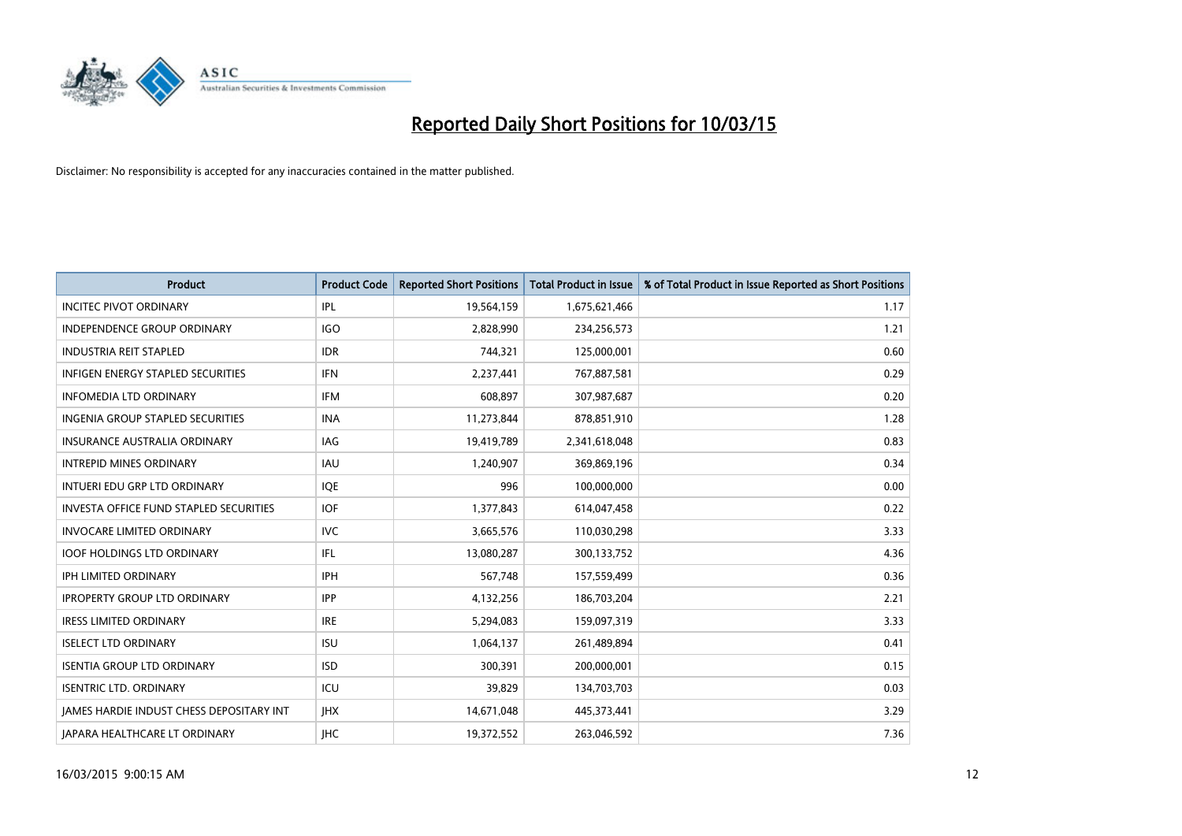

| <b>Product</b>                                  | <b>Product Code</b> | <b>Reported Short Positions</b> | <b>Total Product in Issue</b> | % of Total Product in Issue Reported as Short Positions |
|-------------------------------------------------|---------------------|---------------------------------|-------------------------------|---------------------------------------------------------|
| <b>INCITEC PIVOT ORDINARY</b>                   | IPL                 | 19,564,159                      | 1,675,621,466                 | 1.17                                                    |
| INDEPENDENCE GROUP ORDINARY                     | <b>IGO</b>          | 2,828,990                       | 234,256,573                   | 1.21                                                    |
| <b>INDUSTRIA REIT STAPLED</b>                   | <b>IDR</b>          | 744,321                         | 125,000,001                   | 0.60                                                    |
| INFIGEN ENERGY STAPLED SECURITIES               | <b>IFN</b>          | 2,237,441                       | 767,887,581                   | 0.29                                                    |
| <b>INFOMEDIA LTD ORDINARY</b>                   | <b>IFM</b>          | 608,897                         | 307,987,687                   | 0.20                                                    |
| <b>INGENIA GROUP STAPLED SECURITIES</b>         | <b>INA</b>          | 11,273,844                      | 878,851,910                   | 1.28                                                    |
| <b>INSURANCE AUSTRALIA ORDINARY</b>             | IAG                 | 19,419,789                      | 2,341,618,048                 | 0.83                                                    |
| <b>INTREPID MINES ORDINARY</b>                  | IAU                 | 1,240,907                       | 369,869,196                   | 0.34                                                    |
| INTUERI EDU GRP LTD ORDINARY                    | <b>IOE</b>          | 996                             | 100,000,000                   | 0.00                                                    |
| INVESTA OFFICE FUND STAPLED SECURITIES          | <b>IOF</b>          | 1,377,843                       | 614,047,458                   | 0.22                                                    |
| <b>INVOCARE LIMITED ORDINARY</b>                | IVC                 | 3,665,576                       | 110,030,298                   | 3.33                                                    |
| <b>IOOF HOLDINGS LTD ORDINARY</b>               | IFL                 | 13,080,287                      | 300,133,752                   | 4.36                                                    |
| <b>IPH LIMITED ORDINARY</b>                     | <b>IPH</b>          | 567,748                         | 157,559,499                   | 0.36                                                    |
| <b>IPROPERTY GROUP LTD ORDINARY</b>             | <b>IPP</b>          | 4,132,256                       | 186,703,204                   | 2.21                                                    |
| <b>IRESS LIMITED ORDINARY</b>                   | <b>IRE</b>          | 5,294,083                       | 159,097,319                   | 3.33                                                    |
| <b>ISELECT LTD ORDINARY</b>                     | <b>ISU</b>          | 1,064,137                       | 261,489,894                   | 0.41                                                    |
| <b>ISENTIA GROUP LTD ORDINARY</b>               | <b>ISD</b>          | 300,391                         | 200,000,001                   | 0.15                                                    |
| <b>ISENTRIC LTD. ORDINARY</b>                   | ICU                 | 39,829                          | 134,703,703                   | 0.03                                                    |
| <b>IAMES HARDIE INDUST CHESS DEPOSITARY INT</b> | <b>IHX</b>          | 14,671,048                      | 445,373,441                   | 3.29                                                    |
| JAPARA HEALTHCARE LT ORDINARY                   | <b>IHC</b>          | 19,372,552                      | 263,046,592                   | 7.36                                                    |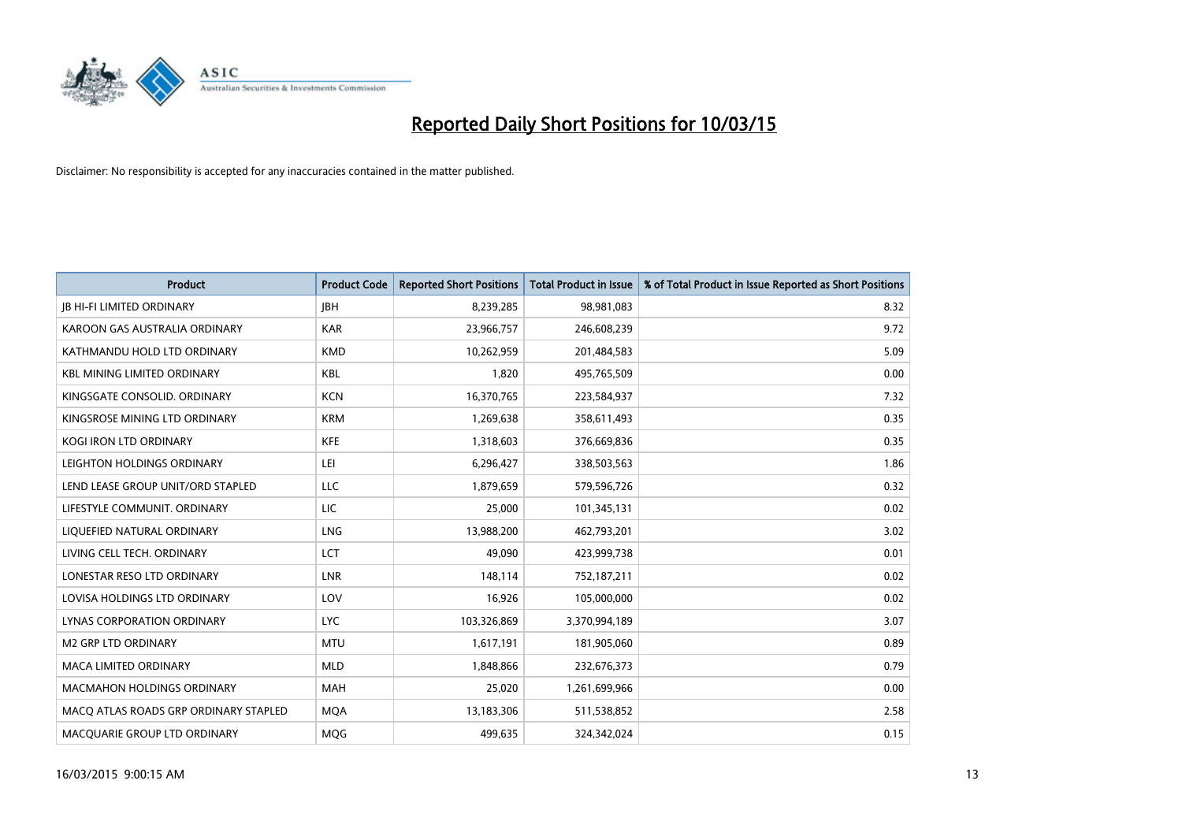

| <b>Product</b>                        | <b>Product Code</b> | <b>Reported Short Positions</b> | <b>Total Product in Issue</b> | % of Total Product in Issue Reported as Short Positions |
|---------------------------------------|---------------------|---------------------------------|-------------------------------|---------------------------------------------------------|
| <b>JB HI-FI LIMITED ORDINARY</b>      | <b>IBH</b>          | 8,239,285                       | 98,981,083                    | 8.32                                                    |
| KAROON GAS AUSTRALIA ORDINARY         | <b>KAR</b>          | 23,966,757                      | 246,608,239                   | 9.72                                                    |
| KATHMANDU HOLD LTD ORDINARY           | <b>KMD</b>          | 10,262,959                      | 201,484,583                   | 5.09                                                    |
| <b>KBL MINING LIMITED ORDINARY</b>    | <b>KBL</b>          | 1,820                           | 495,765,509                   | 0.00                                                    |
| KINGSGATE CONSOLID. ORDINARY          | <b>KCN</b>          | 16,370,765                      | 223,584,937                   | 7.32                                                    |
| KINGSROSE MINING LTD ORDINARY         | <b>KRM</b>          | 1,269,638                       | 358,611,493                   | 0.35                                                    |
| <b>KOGI IRON LTD ORDINARY</b>         | <b>KFE</b>          | 1,318,603                       | 376,669,836                   | 0.35                                                    |
| LEIGHTON HOLDINGS ORDINARY            | LEI                 | 6,296,427                       | 338,503,563                   | 1.86                                                    |
| LEND LEASE GROUP UNIT/ORD STAPLED     | <b>LLC</b>          | 1,879,659                       | 579,596,726                   | 0.32                                                    |
| LIFESTYLE COMMUNIT, ORDINARY          | <b>LIC</b>          | 25,000                          | 101,345,131                   | 0.02                                                    |
| LIQUEFIED NATURAL ORDINARY            | LNG                 | 13,988,200                      | 462,793,201                   | 3.02                                                    |
| LIVING CELL TECH. ORDINARY            | LCT                 | 49,090                          | 423,999,738                   | 0.01                                                    |
| LONESTAR RESO LTD ORDINARY            | <b>LNR</b>          | 148,114                         | 752,187,211                   | 0.02                                                    |
| LOVISA HOLDINGS LTD ORDINARY          | LOV                 | 16,926                          | 105,000,000                   | 0.02                                                    |
| LYNAS CORPORATION ORDINARY            | <b>LYC</b>          | 103,326,869                     | 3,370,994,189                 | 3.07                                                    |
| M2 GRP LTD ORDINARY                   | <b>MTU</b>          | 1,617,191                       | 181,905,060                   | 0.89                                                    |
| MACA LIMITED ORDINARY                 | <b>MLD</b>          | 1,848,866                       | 232,676,373                   | 0.79                                                    |
| MACMAHON HOLDINGS ORDINARY            | <b>MAH</b>          | 25,020                          | 1,261,699,966                 | 0.00                                                    |
| MACO ATLAS ROADS GRP ORDINARY STAPLED | <b>MOA</b>          | 13,183,306                      | 511,538,852                   | 2.58                                                    |
| MACQUARIE GROUP LTD ORDINARY          | <b>MOG</b>          | 499,635                         | 324,342,024                   | 0.15                                                    |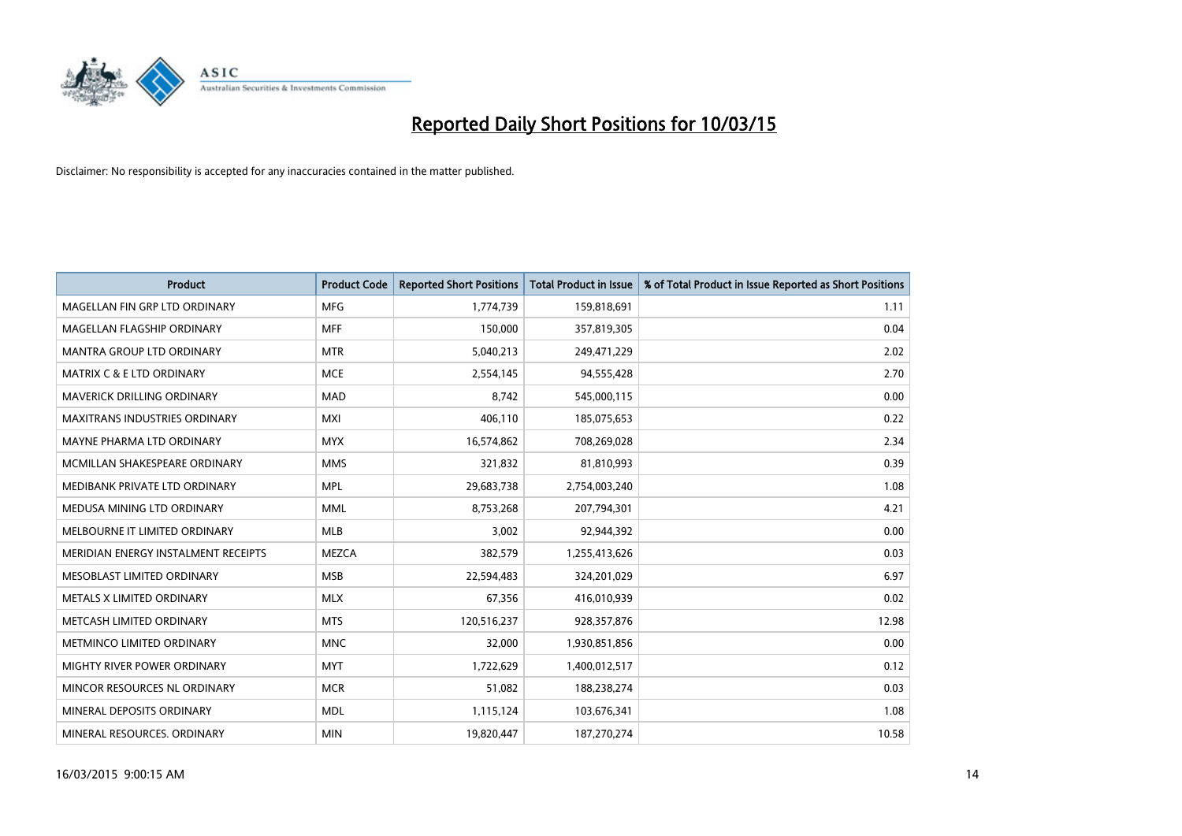

| <b>Product</b>                       | <b>Product Code</b> | <b>Reported Short Positions</b> | <b>Total Product in Issue</b> | % of Total Product in Issue Reported as Short Positions |
|--------------------------------------|---------------------|---------------------------------|-------------------------------|---------------------------------------------------------|
| MAGELLAN FIN GRP LTD ORDINARY        | <b>MFG</b>          | 1,774,739                       | 159,818,691                   | 1.11                                                    |
| MAGELLAN FLAGSHIP ORDINARY           | <b>MFF</b>          | 150,000                         | 357,819,305                   | 0.04                                                    |
| <b>MANTRA GROUP LTD ORDINARY</b>     | <b>MTR</b>          | 5,040,213                       | 249,471,229                   | 2.02                                                    |
| <b>MATRIX C &amp; E LTD ORDINARY</b> | <b>MCE</b>          | 2,554,145                       | 94,555,428                    | 2.70                                                    |
| MAVERICK DRILLING ORDINARY           | <b>MAD</b>          | 8,742                           | 545,000,115                   | 0.00                                                    |
| <b>MAXITRANS INDUSTRIES ORDINARY</b> | <b>MXI</b>          | 406,110                         | 185,075,653                   | 0.22                                                    |
| MAYNE PHARMA LTD ORDINARY            | <b>MYX</b>          | 16,574,862                      | 708,269,028                   | 2.34                                                    |
| MCMILLAN SHAKESPEARE ORDINARY        | <b>MMS</b>          | 321,832                         | 81,810,993                    | 0.39                                                    |
| MEDIBANK PRIVATE LTD ORDINARY        | <b>MPL</b>          | 29,683,738                      | 2,754,003,240                 | 1.08                                                    |
| MEDUSA MINING LTD ORDINARY           | <b>MML</b>          | 8,753,268                       | 207,794,301                   | 4.21                                                    |
| MELBOURNE IT LIMITED ORDINARY        | MLB                 | 3,002                           | 92,944,392                    | 0.00                                                    |
| MERIDIAN ENERGY INSTALMENT RECEIPTS  | <b>MEZCA</b>        | 382,579                         | 1,255,413,626                 | 0.03                                                    |
| MESOBLAST LIMITED ORDINARY           | <b>MSB</b>          | 22,594,483                      | 324,201,029                   | 6.97                                                    |
| METALS X LIMITED ORDINARY            | <b>MLX</b>          | 67,356                          | 416,010,939                   | 0.02                                                    |
| METCASH LIMITED ORDINARY             | <b>MTS</b>          | 120,516,237                     | 928,357,876                   | 12.98                                                   |
| METMINCO LIMITED ORDINARY            | <b>MNC</b>          | 32,000                          | 1,930,851,856                 | 0.00                                                    |
| MIGHTY RIVER POWER ORDINARY          | <b>MYT</b>          | 1,722,629                       | 1,400,012,517                 | 0.12                                                    |
| MINCOR RESOURCES NL ORDINARY         | <b>MCR</b>          | 51,082                          | 188,238,274                   | 0.03                                                    |
| MINERAL DEPOSITS ORDINARY            | <b>MDL</b>          | 1,115,124                       | 103,676,341                   | 1.08                                                    |
| MINERAL RESOURCES. ORDINARY          | <b>MIN</b>          | 19,820,447                      | 187,270,274                   | 10.58                                                   |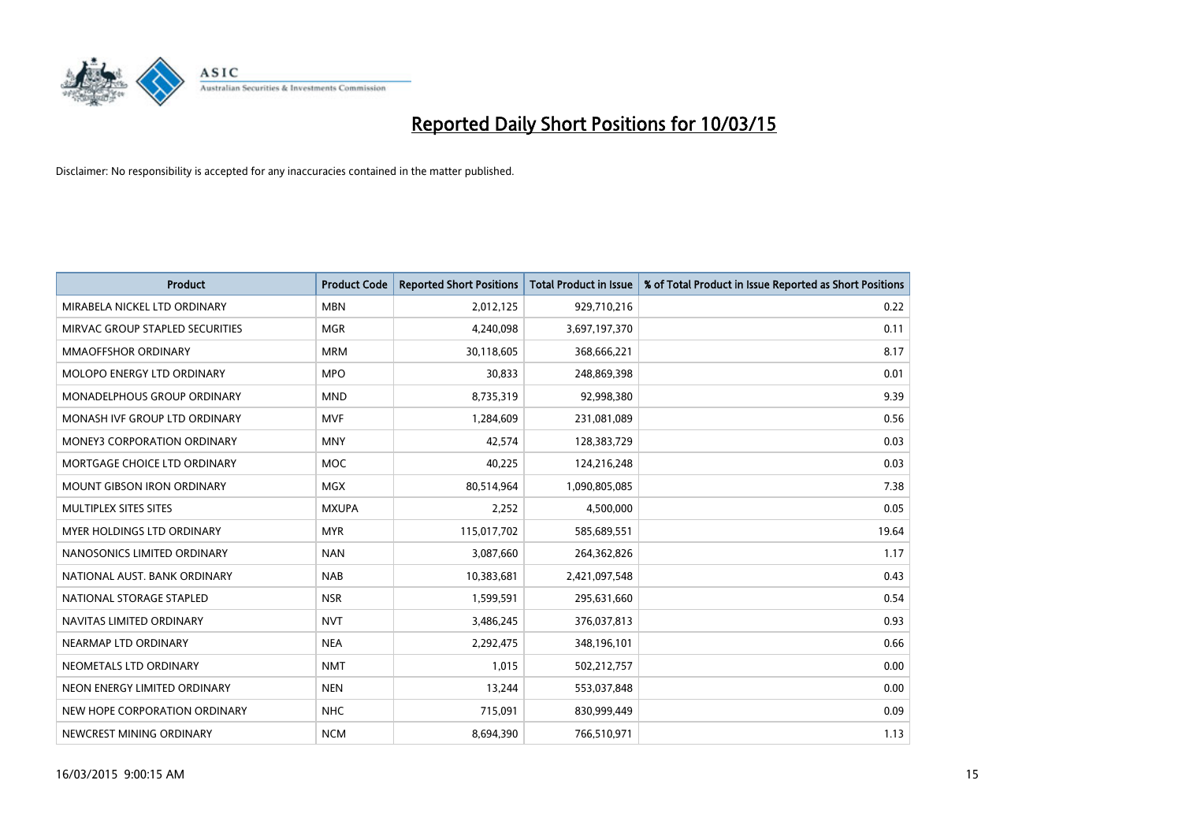

| <b>Product</b>                     | <b>Product Code</b> | <b>Reported Short Positions</b> | <b>Total Product in Issue</b> | % of Total Product in Issue Reported as Short Positions |
|------------------------------------|---------------------|---------------------------------|-------------------------------|---------------------------------------------------------|
| MIRABELA NICKEL LTD ORDINARY       | <b>MBN</b>          | 2,012,125                       | 929,710,216                   | 0.22                                                    |
| MIRVAC GROUP STAPLED SECURITIES    | <b>MGR</b>          | 4,240,098                       | 3,697,197,370                 | 0.11                                                    |
| <b>MMAOFFSHOR ORDINARY</b>         | <b>MRM</b>          | 30,118,605                      | 368,666,221                   | 8.17                                                    |
| MOLOPO ENERGY LTD ORDINARY         | <b>MPO</b>          | 30,833                          | 248,869,398                   | 0.01                                                    |
| MONADELPHOUS GROUP ORDINARY        | <b>MND</b>          | 8,735,319                       | 92,998,380                    | 9.39                                                    |
| MONASH IVF GROUP LTD ORDINARY      | <b>MVF</b>          | 1,284,609                       | 231,081,089                   | 0.56                                                    |
| <b>MONEY3 CORPORATION ORDINARY</b> | <b>MNY</b>          | 42.574                          | 128,383,729                   | 0.03                                                    |
| MORTGAGE CHOICE LTD ORDINARY       | <b>MOC</b>          | 40,225                          | 124,216,248                   | 0.03                                                    |
| <b>MOUNT GIBSON IRON ORDINARY</b>  | <b>MGX</b>          | 80,514,964                      | 1,090,805,085                 | 7.38                                                    |
| MULTIPLEX SITES SITES              | <b>MXUPA</b>        | 2,252                           | 4,500,000                     | 0.05                                                    |
| MYER HOLDINGS LTD ORDINARY         | <b>MYR</b>          | 115,017,702                     | 585,689,551                   | 19.64                                                   |
| NANOSONICS LIMITED ORDINARY        | <b>NAN</b>          | 3,087,660                       | 264,362,826                   | 1.17                                                    |
| NATIONAL AUST, BANK ORDINARY       | <b>NAB</b>          | 10,383,681                      | 2,421,097,548                 | 0.43                                                    |
| NATIONAL STORAGE STAPLED           | <b>NSR</b>          | 1,599,591                       | 295,631,660                   | 0.54                                                    |
| NAVITAS LIMITED ORDINARY           | <b>NVT</b>          | 3,486,245                       | 376,037,813                   | 0.93                                                    |
| NEARMAP LTD ORDINARY               | <b>NEA</b>          | 2,292,475                       | 348,196,101                   | 0.66                                                    |
| NEOMETALS LTD ORDINARY             | <b>NMT</b>          | 1,015                           | 502,212,757                   | 0.00                                                    |
| NEON ENERGY LIMITED ORDINARY       | <b>NEN</b>          | 13,244                          | 553,037,848                   | 0.00                                                    |
| NEW HOPE CORPORATION ORDINARY      | <b>NHC</b>          | 715,091                         | 830,999,449                   | 0.09                                                    |
| NEWCREST MINING ORDINARY           | <b>NCM</b>          | 8,694,390                       | 766,510,971                   | 1.13                                                    |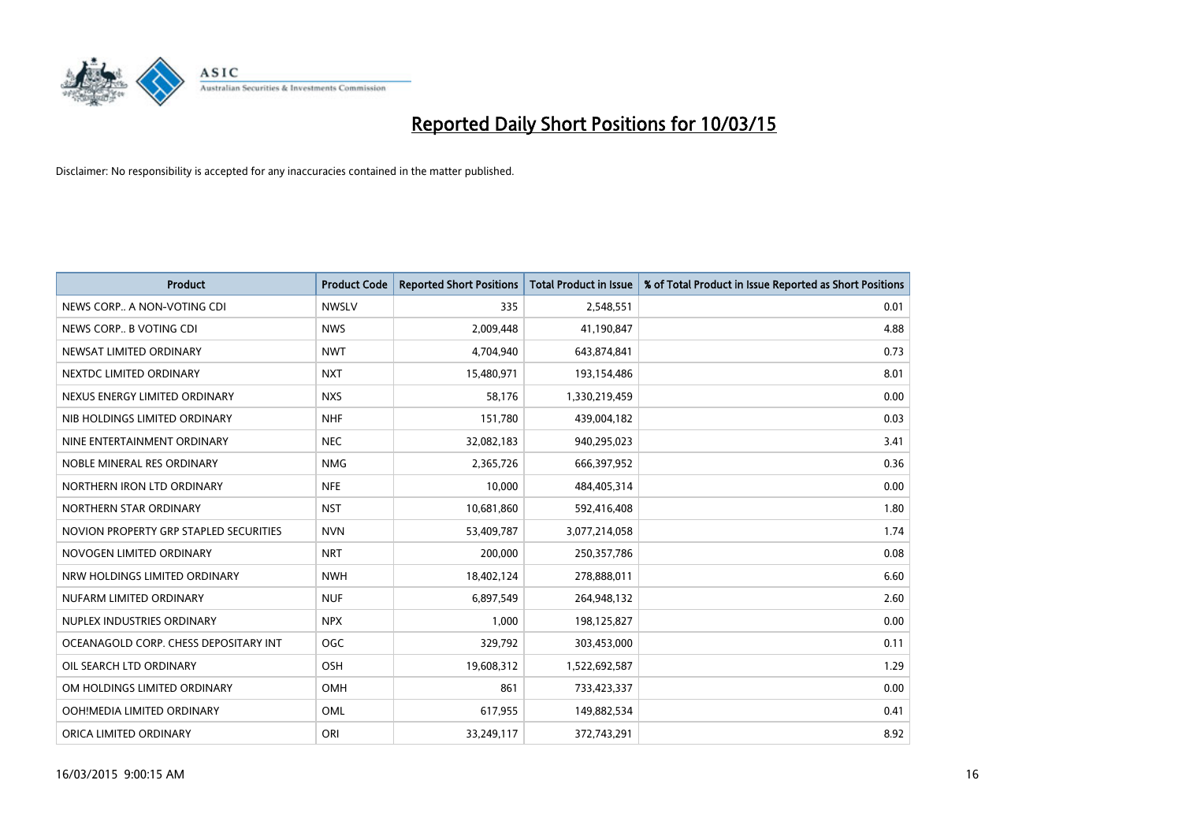

| <b>Product</b>                         | <b>Product Code</b> | <b>Reported Short Positions</b> | <b>Total Product in Issue</b> | % of Total Product in Issue Reported as Short Positions |
|----------------------------------------|---------------------|---------------------------------|-------------------------------|---------------------------------------------------------|
| NEWS CORP A NON-VOTING CDI             | <b>NWSLV</b>        | 335                             | 2,548,551                     | 0.01                                                    |
| NEWS CORP B VOTING CDI                 | <b>NWS</b>          | 2,009,448                       | 41,190,847                    | 4.88                                                    |
| NEWSAT LIMITED ORDINARY                | <b>NWT</b>          | 4,704,940                       | 643,874,841                   | 0.73                                                    |
| NEXTDC LIMITED ORDINARY                | <b>NXT</b>          | 15,480,971                      | 193,154,486                   | 8.01                                                    |
| NEXUS ENERGY LIMITED ORDINARY          | <b>NXS</b>          | 58,176                          | 1,330,219,459                 | 0.00                                                    |
| NIB HOLDINGS LIMITED ORDINARY          | <b>NHF</b>          | 151,780                         | 439,004,182                   | 0.03                                                    |
| NINE ENTERTAINMENT ORDINARY            | <b>NEC</b>          | 32,082,183                      | 940,295,023                   | 3.41                                                    |
| NOBLE MINERAL RES ORDINARY             | <b>NMG</b>          | 2,365,726                       | 666,397,952                   | 0.36                                                    |
| NORTHERN IRON LTD ORDINARY             | <b>NFE</b>          | 10,000                          | 484,405,314                   | 0.00                                                    |
| NORTHERN STAR ORDINARY                 | <b>NST</b>          | 10,681,860                      | 592,416,408                   | 1.80                                                    |
| NOVION PROPERTY GRP STAPLED SECURITIES | <b>NVN</b>          | 53,409,787                      | 3,077,214,058                 | 1.74                                                    |
| NOVOGEN LIMITED ORDINARY               | <b>NRT</b>          | 200,000                         | 250,357,786                   | 0.08                                                    |
| NRW HOLDINGS LIMITED ORDINARY          | <b>NWH</b>          | 18,402,124                      | 278,888,011                   | 6.60                                                    |
| NUFARM LIMITED ORDINARY                | <b>NUF</b>          | 6,897,549                       | 264,948,132                   | 2.60                                                    |
| NUPLEX INDUSTRIES ORDINARY             | <b>NPX</b>          | 1,000                           | 198,125,827                   | 0.00                                                    |
| OCEANAGOLD CORP. CHESS DEPOSITARY INT  | <b>OGC</b>          | 329,792                         | 303,453,000                   | 0.11                                                    |
| OIL SEARCH LTD ORDINARY                | OSH                 | 19,608,312                      | 1,522,692,587                 | 1.29                                                    |
| OM HOLDINGS LIMITED ORDINARY           | <b>OMH</b>          | 861                             | 733,423,337                   | 0.00                                                    |
| OOH!MEDIA LIMITED ORDINARY             | OML                 | 617,955                         | 149,882,534                   | 0.41                                                    |
| ORICA LIMITED ORDINARY                 | ORI                 | 33,249,117                      | 372,743,291                   | 8.92                                                    |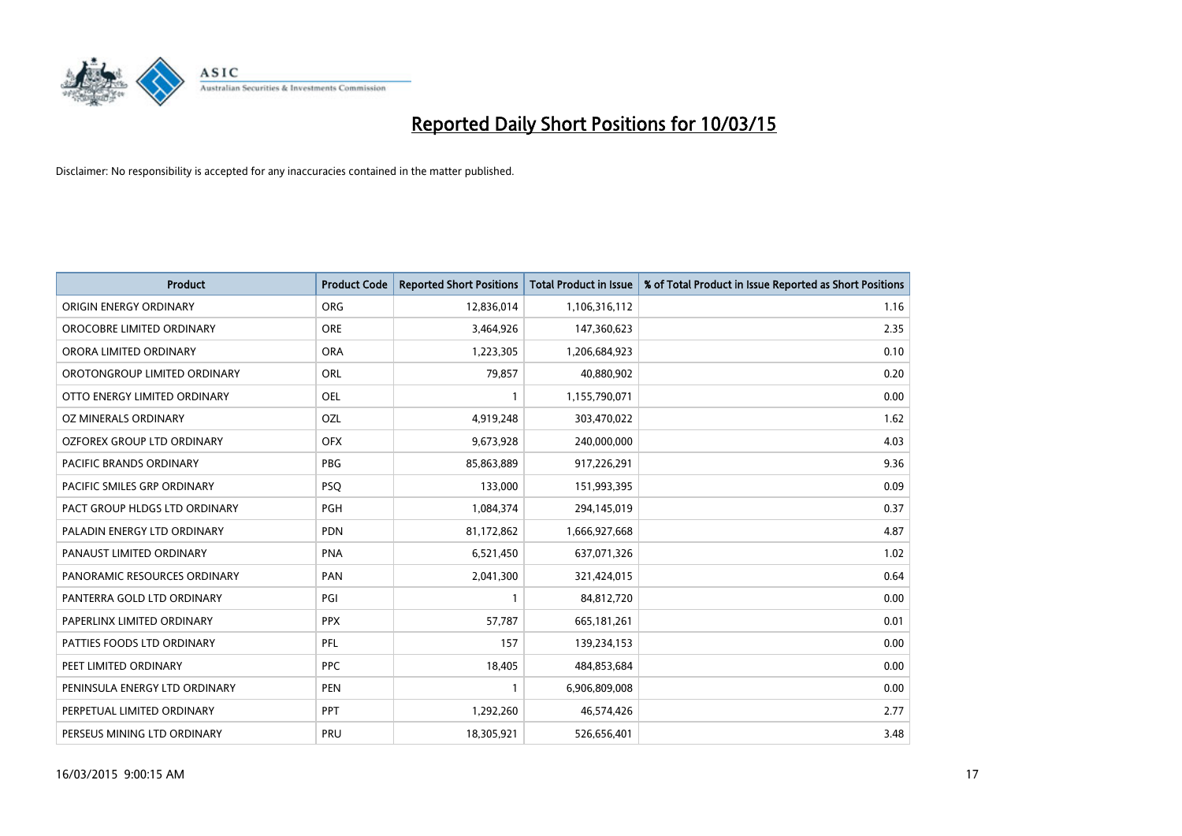

| <b>Product</b>                    | <b>Product Code</b> | <b>Reported Short Positions</b> | <b>Total Product in Issue</b> | % of Total Product in Issue Reported as Short Positions |
|-----------------------------------|---------------------|---------------------------------|-------------------------------|---------------------------------------------------------|
| ORIGIN ENERGY ORDINARY            | <b>ORG</b>          | 12,836,014                      | 1,106,316,112                 | 1.16                                                    |
| OROCOBRE LIMITED ORDINARY         | <b>ORE</b>          | 3,464,926                       | 147,360,623                   | 2.35                                                    |
| ORORA LIMITED ORDINARY            | <b>ORA</b>          | 1,223,305                       | 1,206,684,923                 | 0.10                                                    |
| OROTONGROUP LIMITED ORDINARY      | ORL                 | 79,857                          | 40,880,902                    | 0.20                                                    |
| OTTO ENERGY LIMITED ORDINARY      | <b>OEL</b>          | 1                               | 1,155,790,071                 | 0.00                                                    |
| <b>OZ MINERALS ORDINARY</b>       | OZL                 | 4,919,248                       | 303,470,022                   | 1.62                                                    |
| <b>OZFOREX GROUP LTD ORDINARY</b> | <b>OFX</b>          | 9,673,928                       | 240,000,000                   | 4.03                                                    |
| <b>PACIFIC BRANDS ORDINARY</b>    | <b>PBG</b>          | 85,863,889                      | 917,226,291                   | 9.36                                                    |
| PACIFIC SMILES GRP ORDINARY       | <b>PSQ</b>          | 133,000                         | 151,993,395                   | 0.09                                                    |
| PACT GROUP HLDGS LTD ORDINARY     | <b>PGH</b>          | 1,084,374                       | 294,145,019                   | 0.37                                                    |
| PALADIN ENERGY LTD ORDINARY       | <b>PDN</b>          | 81,172,862                      | 1,666,927,668                 | 4.87                                                    |
| PANAUST LIMITED ORDINARY          | <b>PNA</b>          | 6,521,450                       | 637,071,326                   | 1.02                                                    |
| PANORAMIC RESOURCES ORDINARY      | PAN                 | 2,041,300                       | 321,424,015                   | 0.64                                                    |
| PANTERRA GOLD LTD ORDINARY        | PGI                 | 1                               | 84,812,720                    | 0.00                                                    |
| PAPERLINX LIMITED ORDINARY        | <b>PPX</b>          | 57,787                          | 665, 181, 261                 | 0.01                                                    |
| PATTIES FOODS LTD ORDINARY        | PFL                 | 157                             | 139,234,153                   | 0.00                                                    |
| PEET LIMITED ORDINARY             | <b>PPC</b>          | 18,405                          | 484,853,684                   | 0.00                                                    |
| PENINSULA ENERGY LTD ORDINARY     | <b>PEN</b>          | 1                               | 6,906,809,008                 | 0.00                                                    |
| PERPETUAL LIMITED ORDINARY        | <b>PPT</b>          | 1,292,260                       | 46,574,426                    | 2.77                                                    |
| PERSEUS MINING LTD ORDINARY       | PRU                 | 18,305,921                      | 526,656,401                   | 3.48                                                    |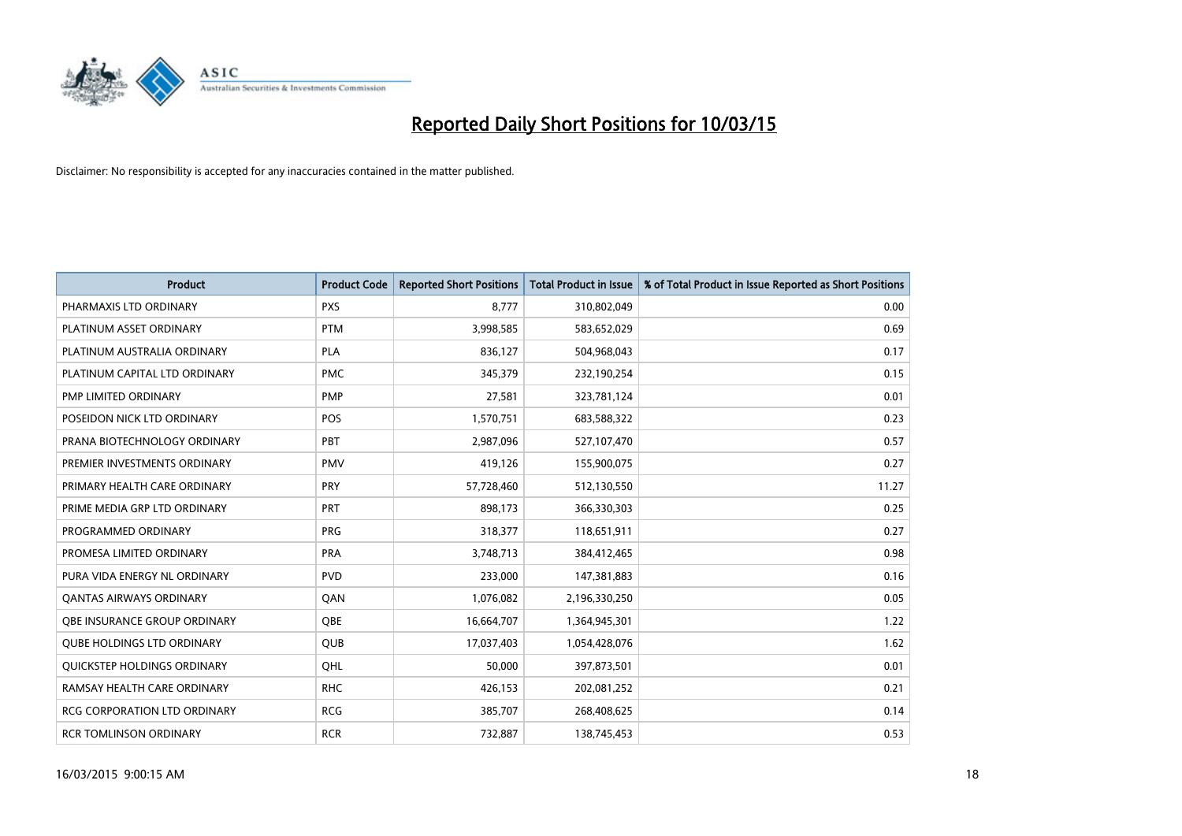

| <b>Product</b>                      | <b>Product Code</b> | <b>Reported Short Positions</b> | <b>Total Product in Issue</b> | % of Total Product in Issue Reported as Short Positions |
|-------------------------------------|---------------------|---------------------------------|-------------------------------|---------------------------------------------------------|
| PHARMAXIS LTD ORDINARY              | <b>PXS</b>          | 8,777                           | 310,802,049                   | 0.00                                                    |
| PLATINUM ASSET ORDINARY             | <b>PTM</b>          | 3,998,585                       | 583,652,029                   | 0.69                                                    |
| PLATINUM AUSTRALIA ORDINARY         | PLA                 | 836,127                         | 504,968,043                   | 0.17                                                    |
| PLATINUM CAPITAL LTD ORDINARY       | <b>PMC</b>          | 345,379                         | 232,190,254                   | 0.15                                                    |
| PMP LIMITED ORDINARY                | <b>PMP</b>          | 27,581                          | 323,781,124                   | 0.01                                                    |
| POSEIDON NICK LTD ORDINARY          | <b>POS</b>          | 1,570,751                       | 683,588,322                   | 0.23                                                    |
| PRANA BIOTECHNOLOGY ORDINARY        | PBT                 | 2,987,096                       | 527,107,470                   | 0.57                                                    |
| PREMIER INVESTMENTS ORDINARY        | <b>PMV</b>          | 419,126                         | 155,900,075                   | 0.27                                                    |
| PRIMARY HEALTH CARE ORDINARY        | <b>PRY</b>          | 57,728,460                      | 512,130,550                   | 11.27                                                   |
| PRIME MEDIA GRP LTD ORDINARY        | <b>PRT</b>          | 898,173                         | 366,330,303                   | 0.25                                                    |
| PROGRAMMED ORDINARY                 | <b>PRG</b>          | 318,377                         | 118,651,911                   | 0.27                                                    |
| PROMESA LIMITED ORDINARY            | <b>PRA</b>          | 3,748,713                       | 384,412,465                   | 0.98                                                    |
| PURA VIDA ENERGY NL ORDINARY        | <b>PVD</b>          | 233,000                         | 147,381,883                   | 0.16                                                    |
| <b>QANTAS AIRWAYS ORDINARY</b>      | QAN                 | 1,076,082                       | 2,196,330,250                 | 0.05                                                    |
| OBE INSURANCE GROUP ORDINARY        | <b>OBE</b>          | 16,664,707                      | 1,364,945,301                 | 1.22                                                    |
| <b>QUBE HOLDINGS LTD ORDINARY</b>   | QUB                 | 17,037,403                      | 1,054,428,076                 | 1.62                                                    |
| QUICKSTEP HOLDINGS ORDINARY         | QHL                 | 50,000                          | 397,873,501                   | 0.01                                                    |
| RAMSAY HEALTH CARE ORDINARY         | <b>RHC</b>          | 426,153                         | 202,081,252                   | 0.21                                                    |
| <b>RCG CORPORATION LTD ORDINARY</b> | <b>RCG</b>          | 385,707                         | 268,408,625                   | 0.14                                                    |
| <b>RCR TOMLINSON ORDINARY</b>       | <b>RCR</b>          | 732,887                         | 138,745,453                   | 0.53                                                    |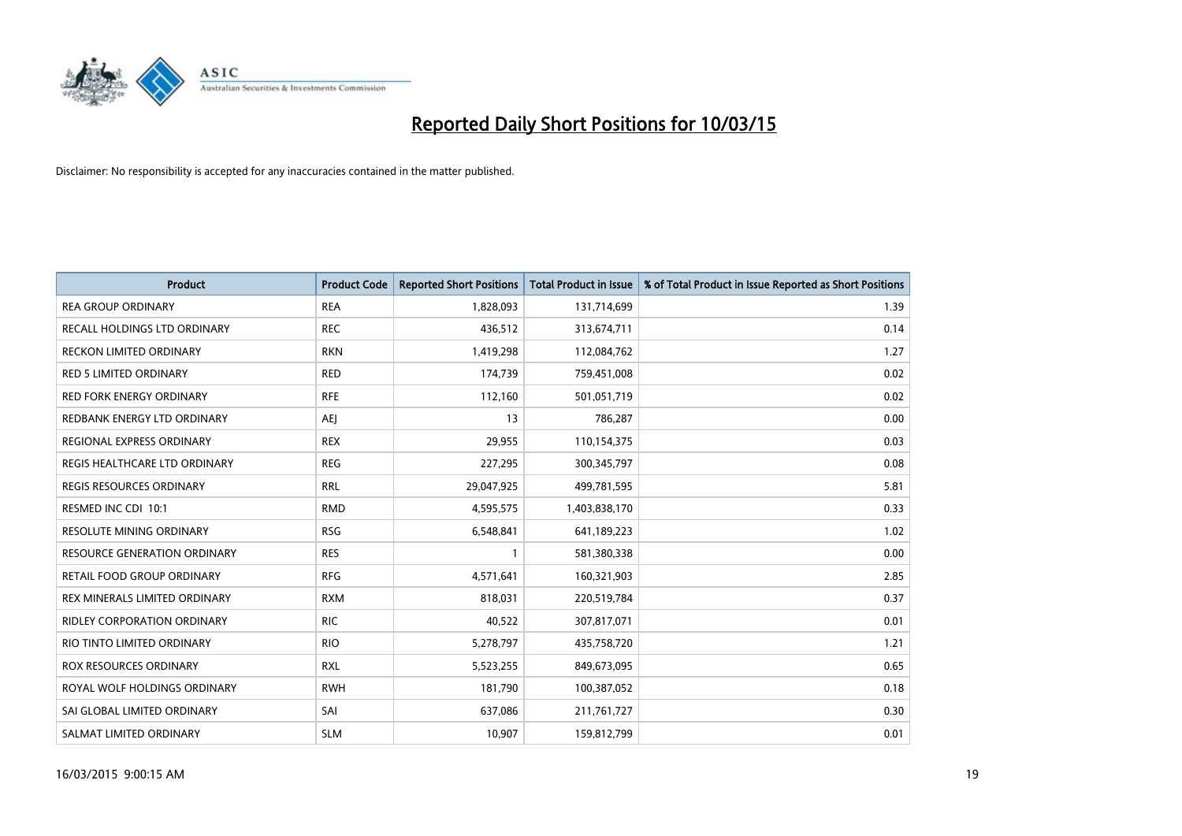

| <b>Product</b>                      | <b>Product Code</b> | <b>Reported Short Positions</b> | <b>Total Product in Issue</b> | % of Total Product in Issue Reported as Short Positions |
|-------------------------------------|---------------------|---------------------------------|-------------------------------|---------------------------------------------------------|
| <b>REA GROUP ORDINARY</b>           | <b>REA</b>          | 1,828,093                       | 131,714,699                   | 1.39                                                    |
| RECALL HOLDINGS LTD ORDINARY        | <b>REC</b>          | 436,512                         | 313,674,711                   | 0.14                                                    |
| RECKON LIMITED ORDINARY             | <b>RKN</b>          | 1,419,298                       | 112,084,762                   | 1.27                                                    |
| RED 5 LIMITED ORDINARY              | <b>RED</b>          | 174,739                         | 759,451,008                   | 0.02                                                    |
| <b>RED FORK ENERGY ORDINARY</b>     | <b>RFE</b>          | 112,160                         | 501,051,719                   | 0.02                                                    |
| REDBANK ENERGY LTD ORDINARY         | <b>AEJ</b>          | 13                              | 786,287                       | 0.00                                                    |
| REGIONAL EXPRESS ORDINARY           | <b>REX</b>          | 29,955                          | 110,154,375                   | 0.03                                                    |
| REGIS HEALTHCARE LTD ORDINARY       | <b>REG</b>          | 227,295                         | 300,345,797                   | 0.08                                                    |
| REGIS RESOURCES ORDINARY            | <b>RRL</b>          | 29,047,925                      | 499,781,595                   | 5.81                                                    |
| RESMED INC CDI 10:1                 | <b>RMD</b>          | 4,595,575                       | 1,403,838,170                 | 0.33                                                    |
| <b>RESOLUTE MINING ORDINARY</b>     | <b>RSG</b>          | 6,548,841                       | 641,189,223                   | 1.02                                                    |
| <b>RESOURCE GENERATION ORDINARY</b> | <b>RES</b>          | $\mathbf{1}$                    | 581,380,338                   | 0.00                                                    |
| RETAIL FOOD GROUP ORDINARY          | <b>RFG</b>          | 4,571,641                       | 160,321,903                   | 2.85                                                    |
| REX MINERALS LIMITED ORDINARY       | <b>RXM</b>          | 818,031                         | 220,519,784                   | 0.37                                                    |
| <b>RIDLEY CORPORATION ORDINARY</b>  | <b>RIC</b>          | 40,522                          | 307,817,071                   | 0.01                                                    |
| RIO TINTO LIMITED ORDINARY          | <b>RIO</b>          | 5,278,797                       | 435,758,720                   | 1.21                                                    |
| ROX RESOURCES ORDINARY              | <b>RXL</b>          | 5,523,255                       | 849,673,095                   | 0.65                                                    |
| ROYAL WOLF HOLDINGS ORDINARY        | <b>RWH</b>          | 181,790                         | 100,387,052                   | 0.18                                                    |
| SAI GLOBAL LIMITED ORDINARY         | SAI                 | 637,086                         | 211,761,727                   | 0.30                                                    |
| SALMAT LIMITED ORDINARY             | <b>SLM</b>          | 10,907                          | 159,812,799                   | 0.01                                                    |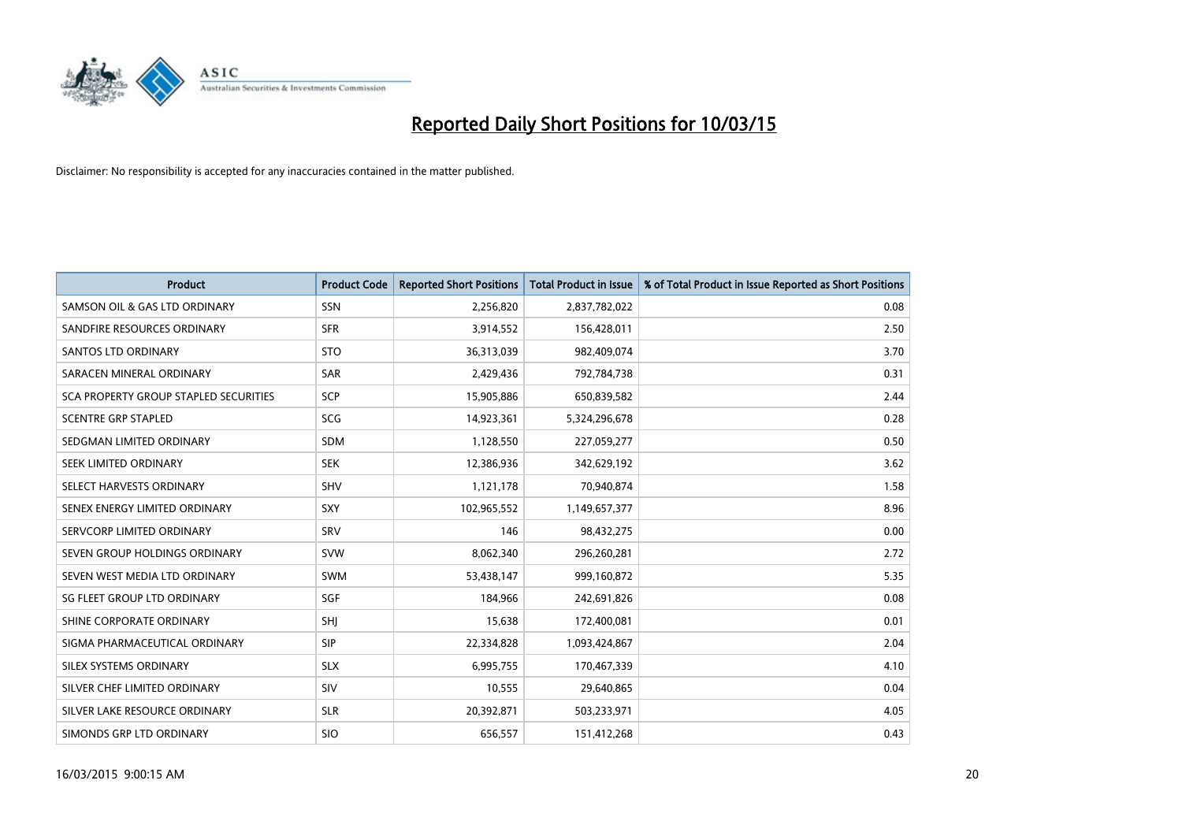

| <b>Product</b>                               | <b>Product Code</b> | <b>Reported Short Positions</b> | <b>Total Product in Issue</b> | % of Total Product in Issue Reported as Short Positions |
|----------------------------------------------|---------------------|---------------------------------|-------------------------------|---------------------------------------------------------|
| SAMSON OIL & GAS LTD ORDINARY                | SSN                 | 2,256,820                       | 2,837,782,022                 | 0.08                                                    |
| SANDFIRE RESOURCES ORDINARY                  | <b>SFR</b>          | 3,914,552                       | 156,428,011                   | 2.50                                                    |
| <b>SANTOS LTD ORDINARY</b>                   | <b>STO</b>          | 36,313,039                      | 982,409,074                   | 3.70                                                    |
| SARACEN MINERAL ORDINARY                     | SAR                 | 2,429,436                       | 792,784,738                   | 0.31                                                    |
| <b>SCA PROPERTY GROUP STAPLED SECURITIES</b> | SCP                 | 15,905,886                      | 650,839,582                   | 2.44                                                    |
| <b>SCENTRE GRP STAPLED</b>                   | <b>SCG</b>          | 14,923,361                      | 5,324,296,678                 | 0.28                                                    |
| SEDGMAN LIMITED ORDINARY                     | <b>SDM</b>          | 1,128,550                       | 227,059,277                   | 0.50                                                    |
| SEEK LIMITED ORDINARY                        | <b>SEK</b>          | 12,386,936                      | 342,629,192                   | 3.62                                                    |
| SELECT HARVESTS ORDINARY                     | SHV                 | 1,121,178                       | 70,940,874                    | 1.58                                                    |
| SENEX ENERGY LIMITED ORDINARY                | <b>SXY</b>          | 102,965,552                     | 1,149,657,377                 | 8.96                                                    |
| SERVCORP LIMITED ORDINARY                    | SRV                 | 146                             | 98,432,275                    | 0.00                                                    |
| SEVEN GROUP HOLDINGS ORDINARY                | <b>SVW</b>          | 8,062,340                       | 296,260,281                   | 2.72                                                    |
| SEVEN WEST MEDIA LTD ORDINARY                | <b>SWM</b>          | 53,438,147                      | 999,160,872                   | 5.35                                                    |
| SG FLEET GROUP LTD ORDINARY                  | SGF                 | 184,966                         | 242,691,826                   | 0.08                                                    |
| SHINE CORPORATE ORDINARY                     | SHJ                 | 15,638                          | 172,400,081                   | 0.01                                                    |
| SIGMA PHARMACEUTICAL ORDINARY                | <b>SIP</b>          | 22,334,828                      | 1,093,424,867                 | 2.04                                                    |
| SILEX SYSTEMS ORDINARY                       | <b>SLX</b>          | 6,995,755                       | 170,467,339                   | 4.10                                                    |
| SILVER CHEF LIMITED ORDINARY                 | <b>SIV</b>          | 10,555                          | 29,640,865                    | 0.04                                                    |
| SILVER LAKE RESOURCE ORDINARY                | <b>SLR</b>          | 20,392,871                      | 503,233,971                   | 4.05                                                    |
| SIMONDS GRP LTD ORDINARY                     | <b>SIO</b>          | 656,557                         | 151,412,268                   | 0.43                                                    |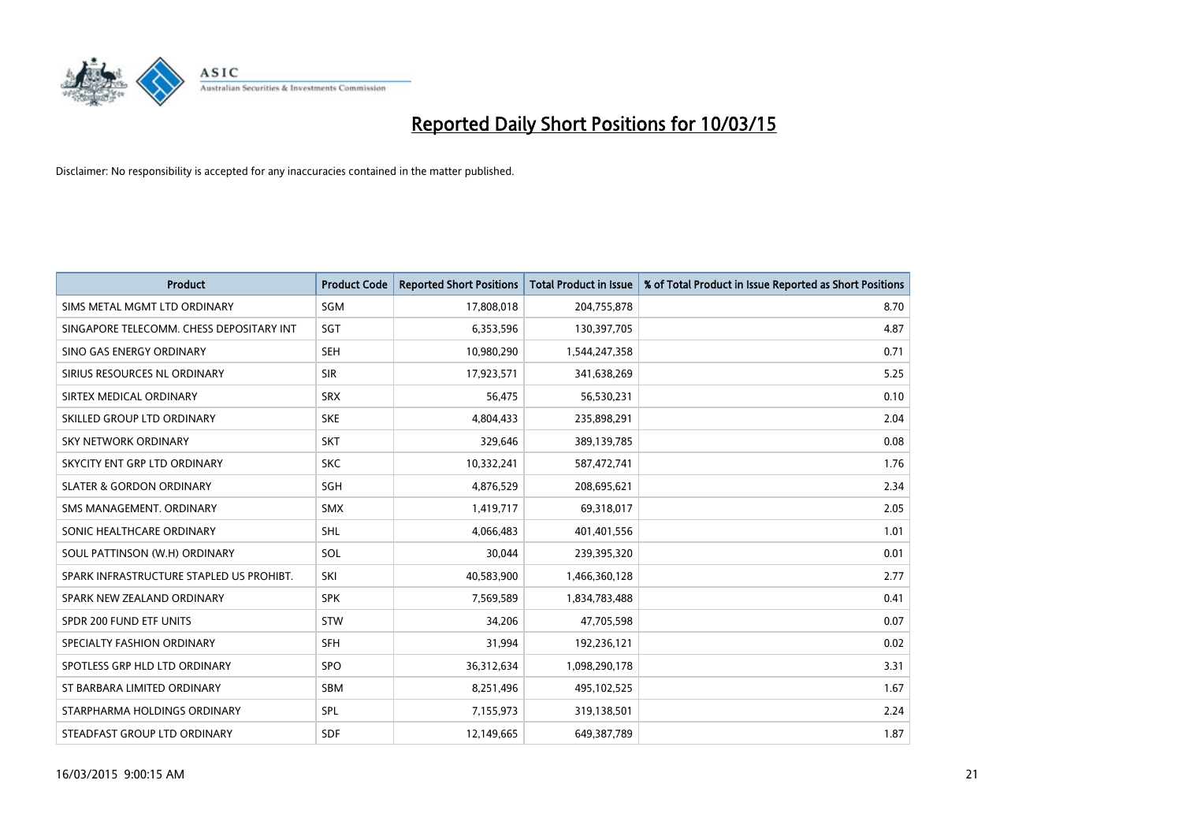

| <b>Product</b>                           | <b>Product Code</b> | <b>Reported Short Positions</b> | <b>Total Product in Issue</b> | % of Total Product in Issue Reported as Short Positions |
|------------------------------------------|---------------------|---------------------------------|-------------------------------|---------------------------------------------------------|
| SIMS METAL MGMT LTD ORDINARY             | SGM                 | 17,808,018                      | 204,755,878                   | 8.70                                                    |
| SINGAPORE TELECOMM. CHESS DEPOSITARY INT | <b>SGT</b>          | 6,353,596                       | 130,397,705                   | 4.87                                                    |
| SINO GAS ENERGY ORDINARY                 | <b>SEH</b>          | 10,980,290                      | 1,544,247,358                 | 0.71                                                    |
| SIRIUS RESOURCES NL ORDINARY             | <b>SIR</b>          | 17,923,571                      | 341,638,269                   | 5.25                                                    |
| SIRTEX MEDICAL ORDINARY                  | <b>SRX</b>          | 56,475                          | 56,530,231                    | 0.10                                                    |
| SKILLED GROUP LTD ORDINARY               | <b>SKE</b>          | 4,804,433                       | 235,898,291                   | 2.04                                                    |
| SKY NETWORK ORDINARY                     | <b>SKT</b>          | 329,646                         | 389,139,785                   | 0.08                                                    |
| SKYCITY ENT GRP LTD ORDINARY             | <b>SKC</b>          | 10,332,241                      | 587,472,741                   | 1.76                                                    |
| <b>SLATER &amp; GORDON ORDINARY</b>      | SGH                 | 4,876,529                       | 208,695,621                   | 2.34                                                    |
| SMS MANAGEMENT, ORDINARY                 | <b>SMX</b>          | 1,419,717                       | 69,318,017                    | 2.05                                                    |
| SONIC HEALTHCARE ORDINARY                | <b>SHL</b>          | 4,066,483                       | 401,401,556                   | 1.01                                                    |
| SOUL PATTINSON (W.H) ORDINARY            | SOL                 | 30,044                          | 239,395,320                   | 0.01                                                    |
| SPARK INFRASTRUCTURE STAPLED US PROHIBT. | SKI                 | 40,583,900                      | 1,466,360,128                 | 2.77                                                    |
| SPARK NEW ZEALAND ORDINARY               | <b>SPK</b>          | 7,569,589                       | 1,834,783,488                 | 0.41                                                    |
| SPDR 200 FUND ETF UNITS                  | <b>STW</b>          | 34,206                          | 47,705,598                    | 0.07                                                    |
| SPECIALTY FASHION ORDINARY               | <b>SFH</b>          | 31,994                          | 192,236,121                   | 0.02                                                    |
| SPOTLESS GRP HLD LTD ORDINARY            | <b>SPO</b>          | 36,312,634                      | 1,098,290,178                 | 3.31                                                    |
| ST BARBARA LIMITED ORDINARY              | <b>SBM</b>          | 8,251,496                       | 495,102,525                   | 1.67                                                    |
| STARPHARMA HOLDINGS ORDINARY             | SPL                 | 7,155,973                       | 319,138,501                   | 2.24                                                    |
| STEADFAST GROUP LTD ORDINARY             | <b>SDF</b>          | 12,149,665                      | 649,387,789                   | 1.87                                                    |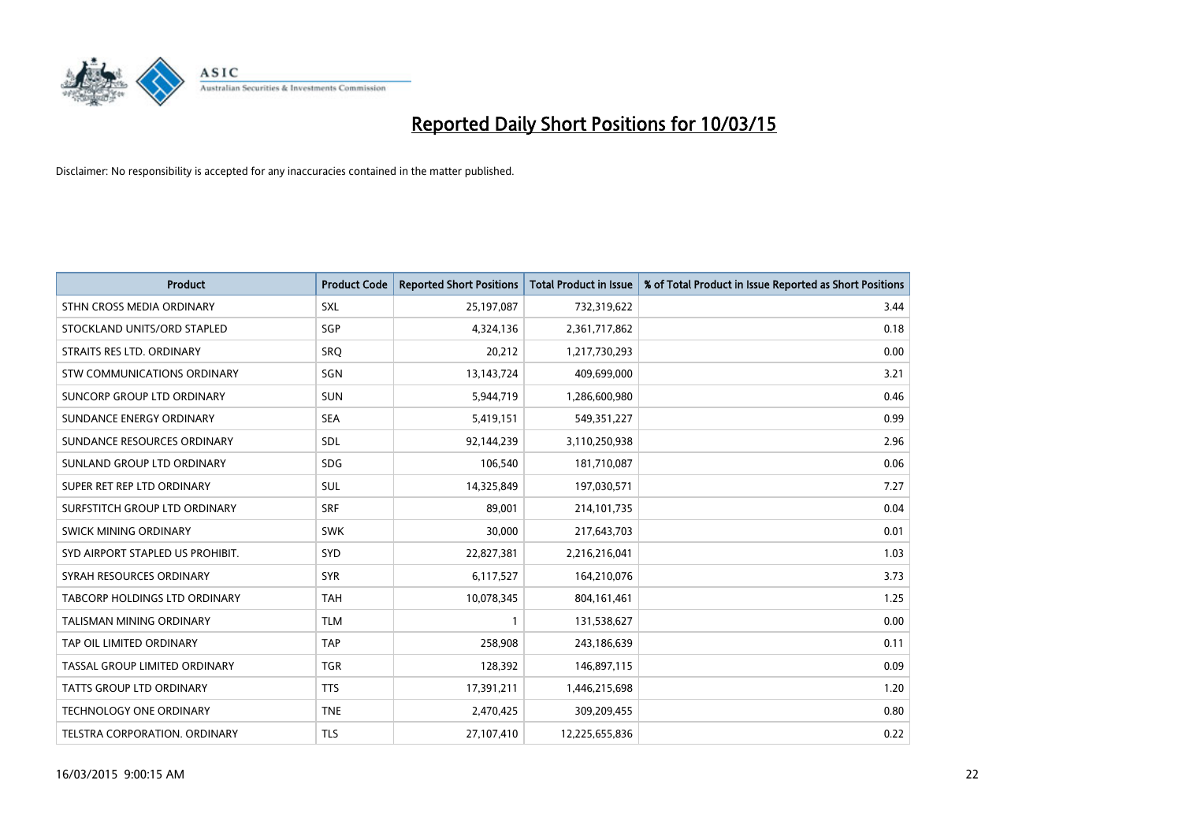

| <b>Product</b>                   | <b>Product Code</b> | <b>Reported Short Positions</b> | <b>Total Product in Issue</b> | % of Total Product in Issue Reported as Short Positions |
|----------------------------------|---------------------|---------------------------------|-------------------------------|---------------------------------------------------------|
| STHN CROSS MEDIA ORDINARY        | <b>SXL</b>          | 25,197,087                      | 732,319,622                   | 3.44                                                    |
| STOCKLAND UNITS/ORD STAPLED      | SGP                 | 4,324,136                       | 2,361,717,862                 | 0.18                                                    |
| STRAITS RES LTD. ORDINARY        | SRO                 | 20,212                          | 1,217,730,293                 | 0.00                                                    |
| STW COMMUNICATIONS ORDINARY      | SGN                 | 13, 143, 724                    | 409,699,000                   | 3.21                                                    |
| SUNCORP GROUP LTD ORDINARY       | <b>SUN</b>          | 5,944,719                       | 1,286,600,980                 | 0.46                                                    |
| SUNDANCE ENERGY ORDINARY         | <b>SEA</b>          | 5,419,151                       | 549,351,227                   | 0.99                                                    |
| SUNDANCE RESOURCES ORDINARY      | SDL                 | 92,144,239                      | 3,110,250,938                 | 2.96                                                    |
| SUNLAND GROUP LTD ORDINARY       | <b>SDG</b>          | 106,540                         | 181,710,087                   | 0.06                                                    |
| SUPER RET REP LTD ORDINARY       | <b>SUL</b>          | 14,325,849                      | 197,030,571                   | 7.27                                                    |
| SURFSTITCH GROUP LTD ORDINARY    | <b>SRF</b>          | 89,001                          | 214,101,735                   | 0.04                                                    |
| SWICK MINING ORDINARY            | <b>SWK</b>          | 30,000                          | 217,643,703                   | 0.01                                                    |
| SYD AIRPORT STAPLED US PROHIBIT. | <b>SYD</b>          | 22,827,381                      | 2,216,216,041                 | 1.03                                                    |
| SYRAH RESOURCES ORDINARY         | <b>SYR</b>          | 6,117,527                       | 164,210,076                   | 3.73                                                    |
| TABCORP HOLDINGS LTD ORDINARY    | <b>TAH</b>          | 10,078,345                      | 804, 161, 461                 | 1.25                                                    |
| <b>TALISMAN MINING ORDINARY</b>  | <b>TLM</b>          | $\mathbf{1}$                    | 131,538,627                   | 0.00                                                    |
| TAP OIL LIMITED ORDINARY         | <b>TAP</b>          | 258,908                         | 243,186,639                   | 0.11                                                    |
| TASSAL GROUP LIMITED ORDINARY    | <b>TGR</b>          | 128,392                         | 146,897,115                   | 0.09                                                    |
| <b>TATTS GROUP LTD ORDINARY</b>  | <b>TTS</b>          | 17,391,211                      | 1,446,215,698                 | 1.20                                                    |
| <b>TECHNOLOGY ONE ORDINARY</b>   | <b>TNE</b>          | 2,470,425                       | 309,209,455                   | 0.80                                                    |
| TELSTRA CORPORATION, ORDINARY    | <b>TLS</b>          | 27,107,410                      | 12,225,655,836                | 0.22                                                    |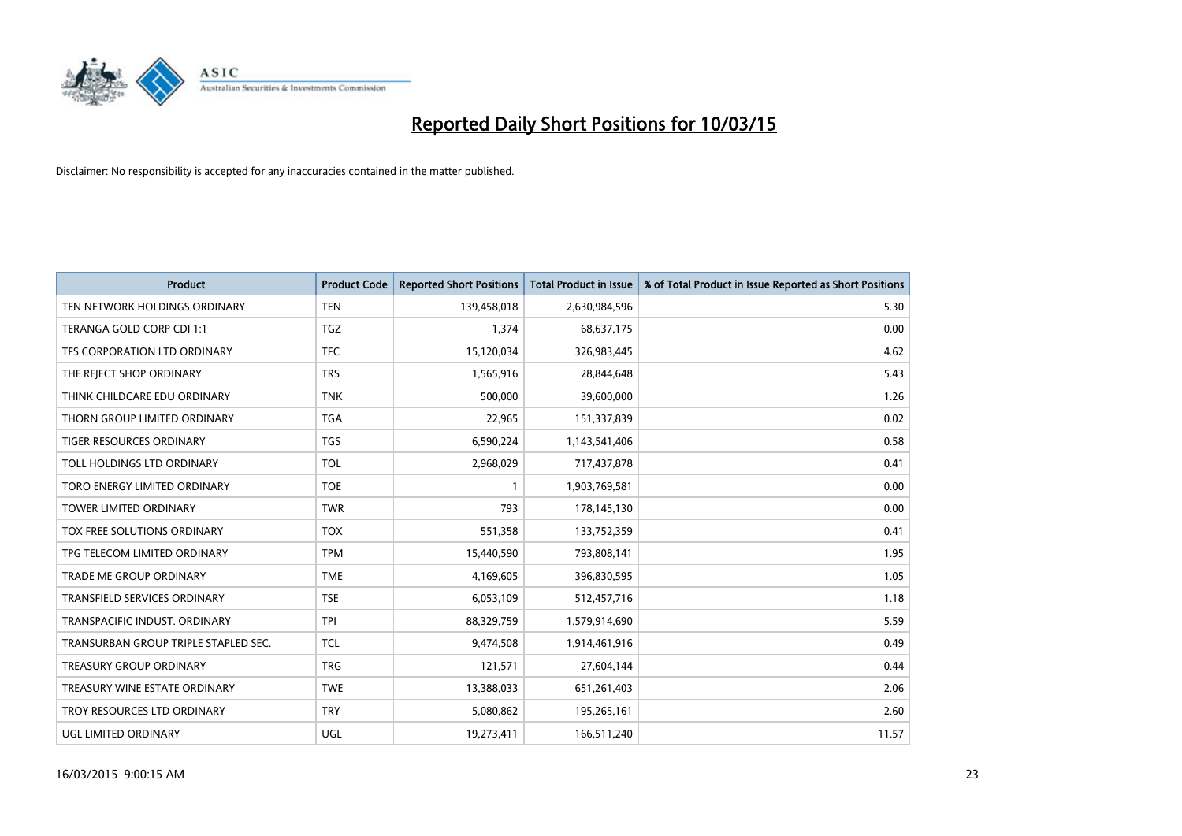

| <b>Product</b>                       | <b>Product Code</b> | <b>Reported Short Positions</b> | <b>Total Product in Issue</b> | % of Total Product in Issue Reported as Short Positions |
|--------------------------------------|---------------------|---------------------------------|-------------------------------|---------------------------------------------------------|
| TEN NETWORK HOLDINGS ORDINARY        | <b>TEN</b>          | 139,458,018                     | 2,630,984,596                 | 5.30                                                    |
| TERANGA GOLD CORP CDI 1:1            | <b>TGZ</b>          | 1,374                           | 68,637,175                    | 0.00                                                    |
| TFS CORPORATION LTD ORDINARY         | <b>TFC</b>          | 15,120,034                      | 326,983,445                   | 4.62                                                    |
| THE REJECT SHOP ORDINARY             | <b>TRS</b>          | 1,565,916                       | 28,844,648                    | 5.43                                                    |
| THINK CHILDCARE EDU ORDINARY         | <b>TNK</b>          | 500,000                         | 39,600,000                    | 1.26                                                    |
| THORN GROUP LIMITED ORDINARY         | <b>TGA</b>          | 22,965                          | 151,337,839                   | 0.02                                                    |
| TIGER RESOURCES ORDINARY             | <b>TGS</b>          | 6,590,224                       | 1,143,541,406                 | 0.58                                                    |
| TOLL HOLDINGS LTD ORDINARY           | <b>TOL</b>          | 2,968,029                       | 717,437,878                   | 0.41                                                    |
| TORO ENERGY LIMITED ORDINARY         | <b>TOE</b>          | 1                               | 1,903,769,581                 | 0.00                                                    |
| TOWER LIMITED ORDINARY               | <b>TWR</b>          | 793                             | 178,145,130                   | 0.00                                                    |
| TOX FREE SOLUTIONS ORDINARY          | <b>TOX</b>          | 551,358                         | 133,752,359                   | 0.41                                                    |
| TPG TELECOM LIMITED ORDINARY         | <b>TPM</b>          | 15,440,590                      | 793,808,141                   | 1.95                                                    |
| TRADE ME GROUP ORDINARY              | <b>TME</b>          | 4,169,605                       | 396,830,595                   | 1.05                                                    |
| <b>TRANSFIELD SERVICES ORDINARY</b>  | <b>TSE</b>          | 6,053,109                       | 512,457,716                   | 1.18                                                    |
| TRANSPACIFIC INDUST. ORDINARY        | <b>TPI</b>          | 88,329,759                      | 1,579,914,690                 | 5.59                                                    |
| TRANSURBAN GROUP TRIPLE STAPLED SEC. | TCL                 | 9,474,508                       | 1,914,461,916                 | 0.49                                                    |
| TREASURY GROUP ORDINARY              | <b>TRG</b>          | 121,571                         | 27,604,144                    | 0.44                                                    |
| TREASURY WINE ESTATE ORDINARY        | <b>TWE</b>          | 13,388,033                      | 651,261,403                   | 2.06                                                    |
| TROY RESOURCES LTD ORDINARY          | <b>TRY</b>          | 5,080,862                       | 195,265,161                   | 2.60                                                    |
| UGL LIMITED ORDINARY                 | UGL                 | 19,273,411                      | 166,511,240                   | 11.57                                                   |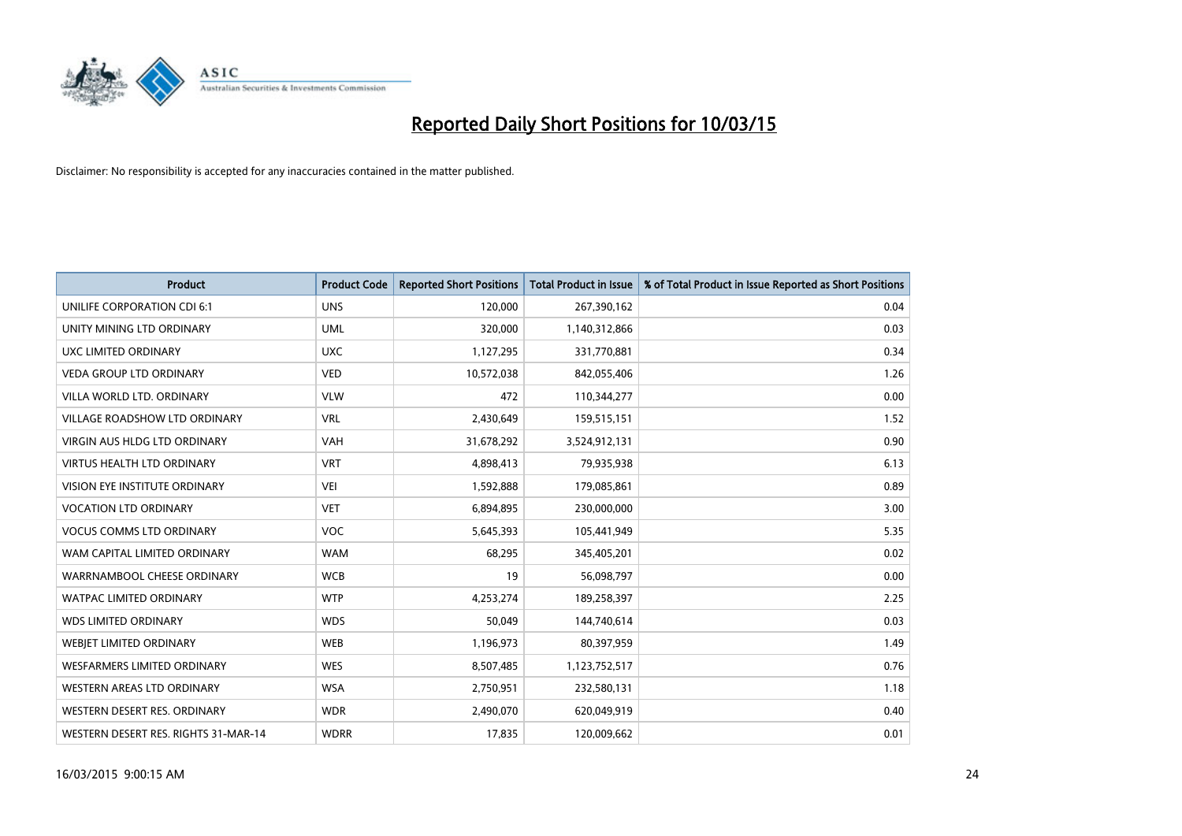

| <b>Product</b>                       | <b>Product Code</b> | <b>Reported Short Positions</b> | <b>Total Product in Issue</b> | % of Total Product in Issue Reported as Short Positions |
|--------------------------------------|---------------------|---------------------------------|-------------------------------|---------------------------------------------------------|
| UNILIFE CORPORATION CDI 6:1          | <b>UNS</b>          | 120,000                         | 267,390,162                   | 0.04                                                    |
| UNITY MINING LTD ORDINARY            | <b>UML</b>          | 320,000                         | 1,140,312,866                 | 0.03                                                    |
| UXC LIMITED ORDINARY                 | <b>UXC</b>          | 1,127,295                       | 331,770,881                   | 0.34                                                    |
| <b>VEDA GROUP LTD ORDINARY</b>       | <b>VED</b>          | 10,572,038                      | 842,055,406                   | 1.26                                                    |
| VILLA WORLD LTD, ORDINARY            | <b>VLW</b>          | 472                             | 110,344,277                   | 0.00                                                    |
| <b>VILLAGE ROADSHOW LTD ORDINARY</b> | <b>VRL</b>          | 2,430,649                       | 159,515,151                   | 1.52                                                    |
| <b>VIRGIN AUS HLDG LTD ORDINARY</b>  | <b>VAH</b>          | 31,678,292                      | 3,524,912,131                 | 0.90                                                    |
| <b>VIRTUS HEALTH LTD ORDINARY</b>    | <b>VRT</b>          | 4,898,413                       | 79,935,938                    | 6.13                                                    |
| VISION EYE INSTITUTE ORDINARY        | <b>VEI</b>          | 1,592,888                       | 179,085,861                   | 0.89                                                    |
| <b>VOCATION LTD ORDINARY</b>         | <b>VET</b>          | 6,894,895                       | 230,000,000                   | 3.00                                                    |
| <b>VOCUS COMMS LTD ORDINARY</b>      | <b>VOC</b>          | 5,645,393                       | 105,441,949                   | 5.35                                                    |
| WAM CAPITAL LIMITED ORDINARY         | <b>WAM</b>          | 68,295                          | 345,405,201                   | 0.02                                                    |
| WARRNAMBOOL CHEESE ORDINARY          | <b>WCB</b>          | 19                              | 56,098,797                    | 0.00                                                    |
| <b>WATPAC LIMITED ORDINARY</b>       | <b>WTP</b>          | 4,253,274                       | 189,258,397                   | 2.25                                                    |
| <b>WDS LIMITED ORDINARY</b>          | <b>WDS</b>          | 50,049                          | 144,740,614                   | 0.03                                                    |
| <b>WEBIET LIMITED ORDINARY</b>       | <b>WEB</b>          | 1,196,973                       | 80,397,959                    | 1.49                                                    |
| <b>WESFARMERS LIMITED ORDINARY</b>   | <b>WES</b>          | 8,507,485                       | 1,123,752,517                 | 0.76                                                    |
| WESTERN AREAS LTD ORDINARY           | <b>WSA</b>          | 2,750,951                       | 232,580,131                   | 1.18                                                    |
| WESTERN DESERT RES. ORDINARY         | <b>WDR</b>          | 2,490,070                       | 620,049,919                   | 0.40                                                    |
| WESTERN DESERT RES. RIGHTS 31-MAR-14 | <b>WDRR</b>         | 17,835                          | 120,009,662                   | 0.01                                                    |